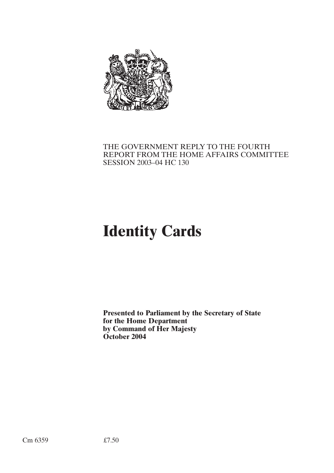

# THE GOVERNMENT REPLY TO THE FOURTH REPORT FROM THE HOME AFFAIRS COMMITTEE SESSION 2003–04 HC 130

# **Identity Cards**

**Presented to Parliament by the Secretary of State for the Home Department by Command of Her Majesty October 2004**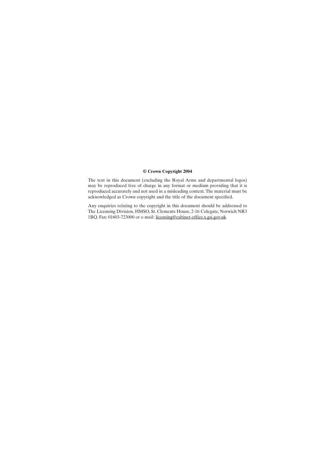## **© Crown Copyright 2004**

The text in this document (excluding the Royal Arms and departmental logos) may be reproduced free of charge in any format or medium providing that it is reproduced accurately and not used in a misleading context.The material must be acknowledged as Crown copyright and the title of the document specified.

Any enquiries relating to the copyright in this document should be addressed to The Licensing Division, HMSO, St. Clements House, 2-16 Colegate, Norwich NR3 1BQ. Fax: 01603-723000 or e-mail: licensing@cabinet-office.x.gsi.gov.uk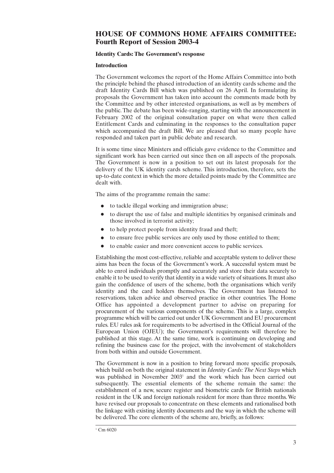## **HOUSE OF COMMONS HOME AFFAIRS COMMITTEE: Fourth Report of Session 2003-4**

## **Identity Cards: The Government's response**

## **Introduction**

The Government welcomes the report of the Home Affairs Committee into both the principle behind the phased introduction of an identity cards scheme and the draft Identity Cards Bill which was published on 26 April. In formulating its proposals the Government has taken into account the comments made both by the Committee and by other interested organisations, as well as by members of the public.The debate has been wide-ranging, starting with the announcement in February 2002 of the original consultation paper on what were then called Entitlement Cards and culminating in the responses to the consultation paper which accompanied the draft Bill. We are pleased that so many people have responded and taken part in public debate and research.

It is some time since Ministers and officials gave evidence to the Committee and significant work has been carried out since then on all aspects of the proposals. The Government is now in a position to set out its latest proposals for the delivery of the UK identity cards scheme. This introduction, therefore, sets the up-to-date context in which the more detailed points made by the Committee are dealt with.

The aims of the programme remain the same:

- to tackle illegal working and immigration abuse;
- to disrupt the use of false and multiple identities by organised criminals and those involved in terrorist activity;
- to help protect people from identity fraud and theft;
- to ensure free public services are only used by those entitled to them;
- to enable easier and more convenient access to public services.

Establishing the most cost-effective, reliable and acceptable system to deliver these aims has been the focus of the Government's work. A successful system must be able to enrol individuals promptly and accurately and store their data securely to enable it to be used to verify that identity in a wide variety of situations.It must also gain the confidence of users of the scheme, both the organisations which verify identity and the card holders themselves. The Government has listened to reservations, taken advice and observed practice in other countries. The Home Office has appointed a development partner to advise on preparing for procurement of the various components of the scheme. This is a large, complex programme which will be carried out under UK Government and EU procurement rules. EU rules ask for requirements to be advertised in the Official Journal of the European Union (OJEU); the Government's requirements will therefore be published at this stage. At the same time, work is continuing on developing and refining the business case for the project, with the involvement of stakeholders from both within and outside Government.

The Government is now in a position to bring forward more specific proposals, which build on both the original statement in *Identity Cards:The Next Steps* which was published in November 2003<sup>1</sup> and the work which has been carried out subsequently. The essential elements of the scheme remain the same: the establishment of a new, secure register and biometric cards for British nationals resident in the UK and foreign nationals resident for more than three months.We have revised our proposals to concentrate on these elements and rationalised both the linkage with existing identity documents and the way in which the scheme will be delivered.The core elements of the scheme are, briefly, as follows: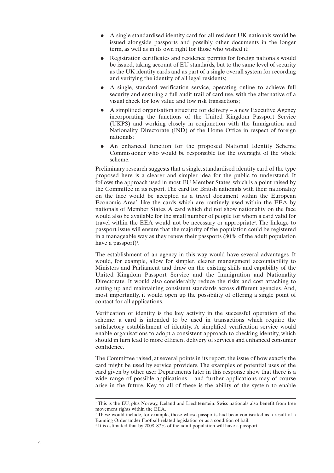- A single standardised identity card for all resident UK nationals would be issued alongside passports and possibly other documents in the longer term, as well as in its own right for those who wished it;
- Registration certificates and residence permits for foreign nationals would be issued, taking account of EU standards, but to the same level of security as the UK identity cards and as part of a single overall system for recording and verifying the identity of all legal residents;
- A single, standard verification service, operating online to achieve full security and ensuring a full audit trail of card use, with the alternative of a visual check for low value and low risk transactions;
- A simplified organisation structure for delivery a new Executive Agency incorporating the functions of the United Kingdom Passport Service (UKPS) and working closely in conjunction with the Immigration and Nationality Directorate (IND) of the Home Office in respect of foreign nationals;
- An enhanced function for the proposed National Identity Scheme Commissioner who would be responsible for the oversight of the whole scheme.

Preliminary research suggests that a single, standardised identity card of the type proposed here is a clearer and simpler idea for the public to understand. It follows the approach used in most EU Member States, which is a point raised by the Committee in its report. The card for British nationals with their nationality on the face would be accepted as a travel document within the European Economic Area 2 , like the cards which are routinely used within the EEA by nationals of Member States. A card which did not show nationality on the face would also be available for the small number of people for whom a card valid for travel within the EEA would not be necessary or appropriate 3 . The linkage to passport issue will ensure that the majority of the population could be registered in a manageable way as they renew their passports (80% of the adult population have a passport) 4 .

The establishment of an agency in this way would have several advantages. It would, for example, allow for simpler, clearer management accountability to Ministers and Parliament and draw on the existing skills and capability of the United Kingdom Passport Service and the Immigration and Nationality Directorate. It would also considerably reduce the risks and cost attaching to setting up and maintaining consistent standards across different agencies. And, most importantly, it would open up the possibility of offering a single point of contact for all applications.

Verification of identity is the key activity in the successful operation of the scheme: a card is intended to be used in transactions which require the satisfactory establishment of identity. A simplified verification service would enable organisations to adopt a consistent approach to checking identity, which should in turn lead to more efficient delivery of services and enhanced consumer confidence.

The Committee raised, at several points in its report, the issue of how exactly the card might be used by service providers. The examples of potential uses of the card given by other user Departments later in this response show that there is a wide range of possible applications – and further applications may of course arise in the future. Key to all of these is the ability of the system to enable

<sup>&</sup>lt;sup>2</sup> This is the EU, plus Norway, Iceland and Liechtenstein. Swiss nationals also benefit from free movement rights within the EEA.

<sup>&</sup>lt;sup>3</sup> These would include, for example, those whose passports had been confiscated as a result of a Banning Order under Football-related legislation or as a condition of bail.

<sup>4</sup> It is estimated that by 2008, 87% of the adult population will have a passport.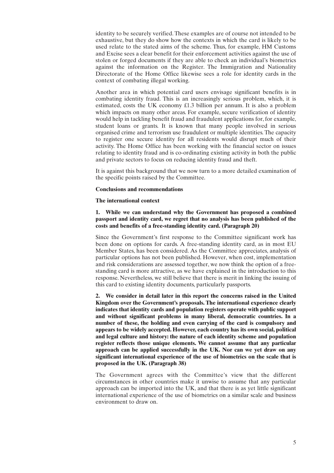identity to be securely verified.These examples are of course not intended to be exhaustive, but they do show how the contexts in which the card is likely to be used relate to the stated aims of the scheme. Thus, for example, HM Customs and Excise sees a clear benefit for their enforcement activities against the use of stolen or forged documents if they are able to check an individual's biometrics against the information on the Register. The Immigration and Nationality Directorate of the Home Office likewise sees a role for identity cards in the context of combating illegal working.

Another area in which potential card users envisage significant benefits is in combating identity fraud. This is an increasingly serious problem, which, it is estimated, costs the UK economy £1.3 billion per annum. It is also a problem which impacts on many other areas. For example, secure verification of identity would help in tackling benefit fraud and fraudulent applications for, for example, student loans or grants. It is known that many people involved in serious organised crime and terrorism use fraudulent or multiple identities.The capacity to register one secure identity for all residents would disrupt much of their activity. The Home Office has been working with the financial sector on issues relating to identity fraud and is co-ordinating existing activity in both the public and private sectors to focus on reducing identity fraud and theft.

It is against this background that we now turn to a more detailed examination of the specific points raised by the Committee.

## **Conclusions and recommendations**

## **The international context**

## **1. While we can understand why the Government has proposed a combined passport and identity card, we regret that no analysis has been published of the costs and benefits of a free-standing identity card. (Paragraph 20)**

Since the Government's first response to the Committee significant work has been done on options for cards. A free-standing identity card, as in most EU Member States, has been considered. As the Committee appreciates, analysis of particular options has not been published. However, when cost, implementation and risk considerations are assessed together, we now think the option of a freestanding card is more attractive, as we have explained in the introduction to this response. Nevertheless, we still believe that there is merit in linking the issuing of this card to existing identity documents, particularly passports.

**2. We consider in detail later in this report the concerns raised in the United Kingdom over the Government's proposals. The international experience clearly indicates that identity cards and population registers operate with public support and without significant problems in many liberal, democratic countries. In a number of these, the holding and even carrying of the card is compulsory and appears to be widely accepted. However, each country has its own social, political and legal culture and history: the nature of each identity scheme and population register reflects those unique elements. We cannot assume that any particular approach can be applied successfully in the UK. Nor can we yet draw on any significant international experience of the use of biometrics on the scale that is proposed in the UK. (Paragraph 38)**

The Government agrees with the Committee's view that the different circumstances in other countries make it unwise to assume that any particular approach can be imported into the UK, and that there is as yet little significant international experience of the use of biometrics on a similar scale and business environment to draw on.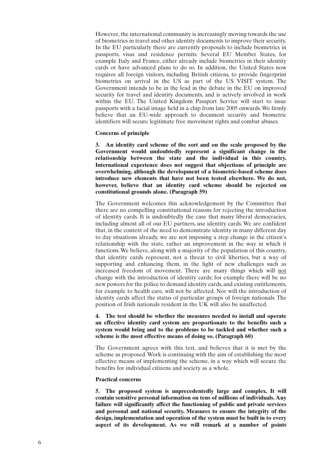However, the international community is increasingly moving towards the use of biometrics in travel and other identity documents to improve their security. In the EU particularly there are currently proposals to include biometrics in passports, visas and residence permits. Several EU Member States, for example Italy and France, either already include biometrics in their identity cards or have advanced plans to do so. In addition, the United States now requires all foreign visitors, including British citizens, to provide fingerprint biometrics on arrival in the US as part of the US VISIT system. The Government intends to be in the lead in the debate in the EU on improved security for travel and identity documents, and is actively involved in work within the EU. The United Kingdom Passport Service will start to issue passports with a facial image held in a chip from late 2005 onwards.We firmly believe that an EU-wide approach to document security and biometric identifiers will secure legitimate free movement rights and combat abuses.

## **Concerns of principle**

**3. An identity card scheme of the sort and on the scale proposed by the Government would undoubtedly represent a significant change in the relationship between the state and the individual in this country. International experience does not suggest that objections of principle are overwhelming, although the development of a biometric-based scheme does introduce new elements that have not been tested elsewhere. We do not, however, believe that an identity card scheme should be rejected on constitutional grounds alone. (Paragraph 59)**

The Government welcomes this acknowledgement by the Committee that there are no compelling constitutional reasons for rejecting the introduction of identity cards. It is undoubtedly the case that many liberal democracies, including almost all of our EU partners, use identity cards. We are confident that, in the context of the need to demonstrate identity in many different day to day situations already, we are not imposing a step change in the citizen's relationship with the state, rather an improvement in the way in which it functions.We believe, along with a majority of the population of this country, that identity cards represent, not a threat to civil liberties, but a way of supporting and enhancing them, in the light of new challenges such as increased freedom of movement. There are many things which will not change with the introduction of identity cards; for example there will be no new powers for the police to demand identity cards, and existing entitlements, for example to health care, will not be affected. Nor will the introduction of identity cards affect the status of particular groups of foreign nationals. The position of Irish nationals resident in the UK will also be unaffected.

## **4. The test should be whether the measures needed to install and operate an effective identity card system are proportionate to the benefits such a system would bring and to the problems to be tackled and whether such a scheme is the most effective means of doing so. (Paragraph 60)**

The Government agrees with this test, and believes that it is met by the scheme as proposed.Work is continuing with the aim of establishing the most effective means of implementing the scheme, in a way which will secure the benefits for individual citizens and society as a whole.

#### **Practical concerns**

**5. The proposed system is unprecedentedly large and complex. It will contain sensitive personal information on tens of millions of individuals. Any failure will significantly affect the functioning of public and private services and personal and national security. Measures to ensure the integrity of the design, implementation and operation of the system must be built in to every aspect of its development. As we will remark at a number of points**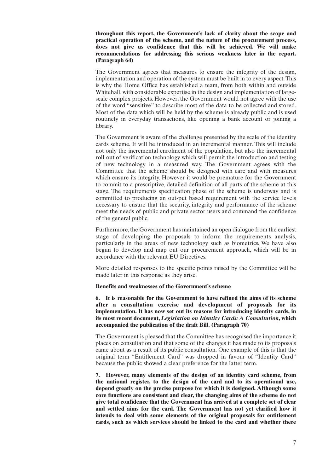## **throughout this report, the Government's lack of clarity about the scope and practical operation of the scheme, and the nature of the procurement process, does not give us confidence that this will be achieved. We will make recommendations for addressing this serious weakness later in the report. (Paragraph 64)**

The Government agrees that measures to ensure the integrity of the design, implementation and operation of the system must be built in to every aspect.This is why the Home Office has established a team, from both within and outside Whitehall, with considerable expertise in the design and implementation of largescale complex projects. However, the Government would not agree with the use of the word "sensitive" to describe most of the data to be collected and stored. Most of the data which will be held by the scheme is already public and is used routinely in everyday transactions, like opening a bank account or joining a library.

The Government is aware of the challenge presented by the scale of the identity cards scheme. It will be introduced in an incremental manner. This will include not only the incremental enrolment of the population, but also the incremental roll-out of verification technology which will permit the introduction and testing of new technology in a measured way. The Government agrees with the Committee that the scheme should be designed with care and with measures which ensure its integrity. However it would be premature for the Government to commit to a prescriptive, detailed definition of all parts of the scheme at this stage. The requirements specification phase of the scheme is underway and is committed to producing an out-put based requirement with the service levels necessary to ensure that the security, integrity and performance of the scheme meet the needs of public and private sector users and command the confidence of the general public.

Furthermore, the Government has maintained an open dialogue from the earliest stage of developing the proposals to inform the requirements analysis, particularly in the areas of new technology such as biometrics. We have also begun to develop and map out our procurement approach, which will be in accordance with the relevant EU Directives.

More detailed responses to the specific points raised by the Committee will be made later in this response as they arise.

#### **Benefits and weaknesses of the Government's scheme**

**6. It is reasonable for the Government to have refined the aims of its scheme after a consultation exercise and development of proposals for its implementation. It has now set out its reasons for introducing identity cards, in its most recent document,** *Legislation on Identity Cards: A Consultation***, which accompanied the publication of the draft Bill. (Paragraph 70)**

The Government is pleased that the Committee has recognised the importance it places on consultation and that some of the changes it has made to its proposals came about as a result of its public consultation. One example of this is that the original term "Entitlement Card" was dropped in favour of "Identity Card" because the public showed a clear preference for the latter term.

**7. However, many elements of the design of an identity card scheme, from the national register, to the design of the card and to its operational use, depend greatly on the precise purpose for which it is designed. Although some core functions are consistent and clear, the changing aims of the scheme do not give total confidence that the Government has arrived at a complete set of clear and settled aims for the card. The Government has not yet clarified how it intends to deal with some elements of the original proposals for entitlement cards, such as which services should be linked to the card and whether there**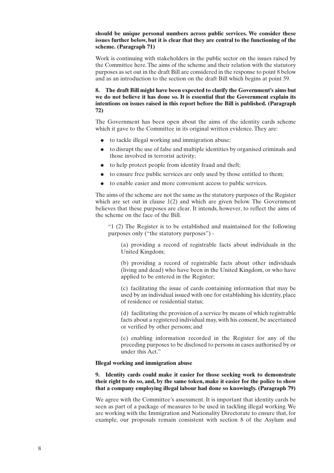## **should be unique personal numbers across public services. We consider these issues further below, but it is clear that they are central to the functioning of the scheme. (Paragraph 71)**

Work is continuing with stakeholders in the public sector on the issues raised by the Committee here.The aims of the scheme and their relation with the statutory purposes as set out in the draft Bill are considered in the response to point 8 below and as an introduction to the section on the draft Bill which begins at point 59.

**8. The draft Bill might have been expected to clarify the Government's aims but we do not believe it has done so. It is essential that the Government explain its intentions on issues raised in this report before the Bill is published. (Paragraph 72)**

The Government has been open about the aims of the identity cards scheme which it gave to the Committee in its original written evidence. They are:

- to tackle illegal working and immigration abuse;
- to disrupt the use of false and multiple identities by organised criminals and those involved in terrorist activity;
- to help protect people from identity fraud and theft;
- to ensure free public services are only used by those entitled to them;
- to enable easier and more convenient access to public services.

The aims of the scheme are not the same as the statutory purposes of the Register which are set out in clause 1(2) and which are given below. The Government believes that these purposes are clear. It intends, however, to reflect the aims of the scheme on the face of the Bill.

"1 (2) The Register is to be established and maintained for the following purposes only ("the statutory purposes") -

(a) providing a record of registrable facts about individuals in the United Kingdom;

(b) providing a record of registrable facts about other individuals (living and dead) who have been in the United Kingdom, or who have applied to be entered in the Register;

(c) facilitating the issue of cards containing information that may be used by an individual issued with one for establishing his identity, place of residence or residential status;

(d) facilitating the provision of a service by means of which registrable facts about a registered individual may, with his consent, be ascertained or verified by other persons; and

(e) enabling information recorded in the Register for any of the preceding purposes to be disclosed to persons in cases authorised by or under this Act."

## **Illegal working and immigration abuse**

**9. Identity cards could make it easier for those seeking work to demonstrate their right to do so, and, by the same token, make it easier for the police to show that a company employing illegal labour had done so knowingly. (Paragraph 79)**

We agree with the Committee's assessment. It is important that identity cards be seen as part of a package of measures to be used in tackling illegal working. We are working with the Immigration and Nationality Directorate to ensure that, for example, our proposals remain consistent with section 8 of the Asylum and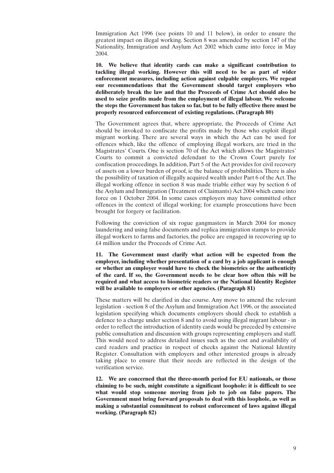Immigration Act 1996 (see points 10 and 11 below), in order to ensure the greatest impact on illegal working. Section 8 was amended by section 147 of the Nationality, Immigration and Asylum Act 2002 which came into force in May 2004.

**10. We believe that identity cards can make a significant contribution to tackling illegal working. However this will need to be as part of wider enforcement measures, including action against culpable employers. We repeat our recommendations that the Government should target employers who deliberately break the law and that the Proceeds of Crime Act should also be used to seize profits made from the employment of illegal labour. We welcome the steps the Government has taken so far, but to be fully effective there must be properly resourced enforcement of existing regulations. (Paragraph 80)**

The Government agrees that, where appropriate, the Proceeds of Crime Act should be invoked to confiscate the profits made by those who exploit illegal migrant working. There are several ways in which the Act can be used for offences which, like the offence of employing illegal workers, are tried in the Magistrates' Courts. One is section 70 of the Act which allows the Magistrates' Courts to commit a convicted defendant to the Crown Court purely for confiscation proceedings.In addition, Part 5 of the Act provides for civil recovery of assets on a lower burden of proof, ie the balance of probabilities.There is also the possibility of taxation of illegally acquired wealth under Part 6 of the Act.The illegal working offence in section 8 was made triable either way by section 6 of the Asylum and Immigration (Treatment of Claimants) Act 2004 which came into force on 1 October 2004. In some cases employers may have committed other offences in the context of illegal working; for example prosecutions have been brought for forgery or facilitation.

Following the conviction of six rogue gangmasters in March 2004 for money laundering and using false documents and replica immigration stamps to provide illegal workers to farms and factories, the police are engaged in recovering up to £4 million under the Proceeds of Crime Act.

**11. The Government must clarify what action will be expected from the employer, including whether presentation of a card by a job applicant is enough or whether an employer would have to check the biometrics or the authenticity of the card. If so, the Government needs to be clear how often this will be required and what access to biometric readers or the National Identity Register will be available to employers or other agencies. (Paragraph 81)**

These matters will be clarified in due course. Any move to amend the relevant legislation - section 8 of the Asylum and Immigration Act 1996, or the associated legislation specifying which documents employers should check to establish a defence to a charge under section 8 and to avoid using illegal migrant labour - in order to reflect the introduction of identity cards would be preceded by extensive public consultation and discussion with groups representing employers and staff. This would need to address detailed issues such as the cost and availability of card readers and practice in respect of checks against the National Identity Register. Consultation with employers and other interested groups is already taking place to ensure that their needs are reflected in the design of the verification service.

**12. We are concerned that the three-month period for EU nationals, or those claiming to be such, might constitute a significant loophole: it is difficult to see what would stop someone moving from job to job on false papers. The Government must bring forward proposals to deal with this loophole, as well as making a substantial commitment to robust enforcement of laws against illegal working. (Paragraph 82)**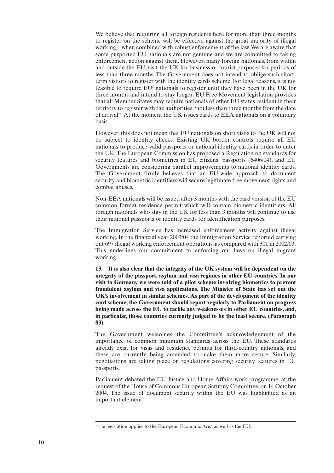We believe that requiring all foreign residents here for more than three months to register on the scheme will be effective against the great majority of illegal working – when combined with robust enforcement of the law.We are aware that some purported EU nationals are not genuine and we are committed to taking enforcement action against them. However, many foreign nationals, from within and outside the EU, visit the UK for business or tourist purposes for periods of less than three months. The Government does not intend to oblige such shortterm visitors to register with the identity cards scheme. For legal reasons, it is not feasible to require  $EU<sup>5</sup>$  nationals to register until they have been in the UK for three months and intend to stay longer. EU Free Movement legislation provides that all Member States may require nationals of other EU states resident in their territory to register with the authorities "not less than three months from the date of arrival". At the moment the UK issues cards to EEA nationals on a voluntary basis.

However, this does not mean that EU nationals on short visits to the UK will not be subject to identity checks. Existing UK border controls require all EU nationals to produce valid passports or national identity cards in order to enter the UK.The European Commission has proposed a Regulation on standards for security features and biometrics in EU citizens' passports (6406/04), and EU Governments are considering parallel improvements to national identity cards. The Government firmly believes that an EU-wide approach to document security and biometric identifiers will secure legitimate free movement rights and combat abuses.

Non-EEA nationals will be issued after 3 months with the card version of the EU common format residence permit which will contain biometric identifiers. All foreign nationals who stay in the UK for less than 3 months will continue to use their national passports or identity cards for identification purposes.

The Immigration Service has increased enforcement activity against illegal working. In the financial year 2003/04 the Immigration Service reported carrying out 697 illegal working enforcement operations, as compared with 301 in 2002/03. This underlines our commitment to enforcing our laws on illegal migrant working.

**13. It is also clear that the integrity of the UK system will be dependent on the integrity of the passport, asylum and visa regimes in other EU countries. In our visit to Germany we were told of a pilot scheme involving biometrics to prevent fraudulent asylum and visa applications. The Minister of State has set out the UK's involvement in similar schemes. As part of the development of the identity card scheme, the Government should report regularly to Parliament on progress being made across the EU to tackle any weaknesses in other EU countries, and, in particular, those countries currently judged to be the least secure. (Paragraph 83)**

The Government welcomes the Committee's acknowledgement of the importance of common minimum standards across the EU. These standards already exist for visas and residence permits for third-country nationals, and these are currently being amended to make them more secure. Similarly, negotiations are taking place on regulations covering security features in EU passports.

Parliament debated the EU Justice and Home Affairs work programme, at the request of the House of Commons European Scrutiny Committee, on 14 October 2004. The issue of document security within the EU was highlighted as an important element.

<sup>&</sup>lt;sup>5</sup> The legislation applies to the European Economic Area as well as the EU.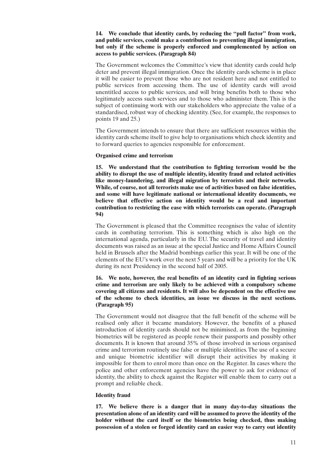## **14. We conclude that identity cards, by reducing the "pull factor" from work, and public services, could make a contribution to preventing illegal immigration, but only if the scheme is properly enforced and complemented by action on access to public services. (Paragraph 84)**

The Government welcomes the Committee's view that identity cards could help deter and prevent illegal immigration. Once the identity cards scheme is in place it will be easier to prevent those who are not resident here and not entitled to public services from accessing them. The use of identity cards will avoid unentitled access to public services, and will bring benefits both to those who legitimately access such services and to those who administer them. This is the subject of continuing work with our stakeholders who appreciate the value of a standardised, robust way of checking identity. (See, for example, the responses to points 19 and 25.)

The Government intends to ensure that there are sufficient resources within the identity cards scheme itself to give help to organisations which check identity and to forward queries to agencies responsible for enforcement.

## **Organised crime and terrorism**

**15. We understand that the contribution to fighting terrorism would be the ability to disrupt the use of multiple identity, identity fraud and related activities like money-laundering, and illegal migration by terrorists and their networks. While, of course, not all terrorists make use of activities based on false identities, and some will have legitimate national or international identity documents, we believe that effective action on identity would be a real and important contribution to restricting the ease with which terrorists can operate. (Paragraph 94)**

The Government is pleased that the Committee recognises the value of identity cards in combating terrorism. This is something which is also high on the international agenda, particularly in the EU. The security of travel and identity documents was raised as an issue at the special Justice and Home Affairs Council held in Brussels after the Madrid bombings earlier this year. It will be one of the elements of the EU's work over the next 5 years and will be a priority for the UK during its next Presidency in the second half of 2005.

## **16. We note, however, the real benefits of an identity card in fighting serious crime and terrorism are only likely to be achieved with a compulsory scheme covering all citizens and residents. It will also be dependent on the effective use of the scheme to check identities, an issue we discuss in the next sections. (Paragraph 95)**

The Government would not disagree that the full benefit of the scheme will be realised only after it became mandatory. However, the benefits of a phased introduction of identity cards should not be minimised, as from the beginning biometrics will be registered as people renew their passports and possibly other documents. It is known that around 35% of those involved in serious organised crime and terrorism routinely use false or multiple identities.The use of a secure and unique biometric identifier will disrupt their activities by making it impossible for them to enrol more than once on the Register. In cases where the police and other enforcement agencies have the power to ask for evidence of identity, the ability to check against the Register will enable them to carry out a prompt and reliable check.

#### **Identity fraud**

**17. We believe there is a danger that in many day-to-day situations the presentation alone of an identity card will be assumed to prove the identity of the holder without the card itself or the biometrics being checked, thus making possession of a stolen or forged identity card an easier way to carry out identity**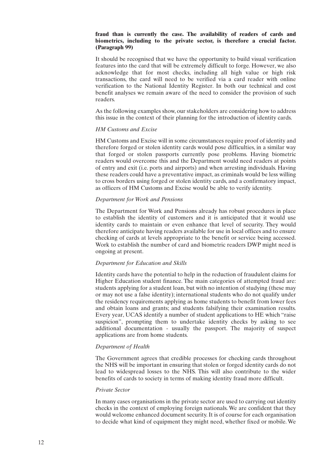## **fraud than is currently the case. The availability of readers of cards and biometrics, including to the private sector, is therefore a crucial factor. (Paragraph 99)**

It should be recognised that we have the opportunity to build visual verification features into the card that will be extremely difficult to forge. However, we also acknowledge that for most checks, including all high value or high risk transactions, the card will need to be verified via a card reader with online verification to the National Identity Register. In both our technical and cost benefit analyses we remain aware of the need to consider the provision of such readers.

As the following examples show, our stakeholders are considering how to address this issue in the context of their planning for the introduction of identity cards.

## *HM Customs and Excise*

HM Customs and Excise will in some circumstances require proof of identity and therefore forged or stolen identity cards would pose difficulties, in a similar way that forged or stolen passports currently pose problems. Having biometric readers would overcome this and the Department would need readers at points of entry and exit (i.e. ports and airports) and when arresting individuals. Having these readers could have a preventative impact, as criminals would be less willing to cross borders using forged or stolen identity cards, and a confirmatory impact, as officers of HM Customs and Excise would be able to verify identity.

## *Department for Work and Pensions*

The Department for Work and Pensions already has robust procedures in place to establish the identity of customers and it is anticipated that it would use identity cards to maintain or even enhance that level of security. They would therefore anticipate having readers available for use in local offices and to ensure checking of cards at levels appropriate to the benefit or service being accessed. Work to establish the number of card and biometric readers DWP might need is ongoing at present.

## *Department for Education and Skills*

Identity cards have the potential to help in the reduction of fraudulent claims for Higher Education student finance. The main categories of attempted fraud are: students applying for a student loan, but with no intention of studying (these may or may not use a false identity); international students who do not qualify under the residency requirements applying as home students to benefit from lower fees and obtain loans and grants; and students falsifying their examination results. Every year, UCAS identify a number of student applications to HE which "raise suspicion", prompting them to undertake identity checks by asking to see additional documentation - usually the passport. The majority of suspect applications are from home students.

## *Department of Health*

The Government agrees that credible processes for checking cards throughout the NHS will be important in ensuring that stolen or forged identity cards do not lead to widespread losses to the NHS. This will also contribute to the wider benefits of cards to society in terms of making identity fraud more difficult.

## *Private Sector*

In many cases organisations in the private sector are used to carrying out identity checks in the context of employing foreign nationals. We are confident that they would welcome enhanced document security.It is of course for each organisation to decide what kind of equipment they might need, whether fixed or mobile. We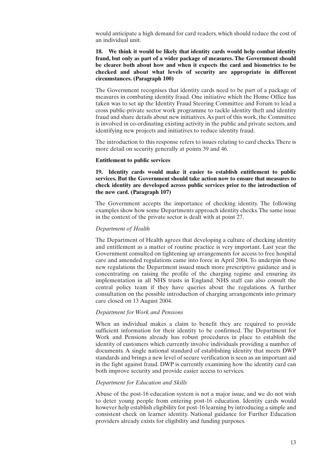would anticipate a high demand for card readers, which should reduce the cost of an individual unit.

## **18. We think it would be likely that identity cards would help combat identity fraud, but only as part of a wider package of measures. The Government should be clearer both about how and when it expects the card and biometrics to be checked and about what levels of security are appropriate in different circumstances. (Paragraph 100)**

The Government recognises that identity cards need to be part of a package of measures in combating identity fraud. One initiative which the Home Office has taken was to set up the Identity Fraud Steering Committee and Forum to lead a cross public-private sector work programme to tackle identity theft and identity fraud and share details about new initiatives.As part of this work, the Committee is involved in co-ordinating existing activity in the public and private sectors, and identifying new projects and initiatives to reduce identity fraud.

The introduction to this response refers to issues relating to card checks.There is more detail on security generally at points 39 and 46.

#### **Entitlement to public services**

**19. Identity cards would make it easier to establish entitlement to public services. But the Government should take action now to ensure that measures to check identity are developed across public services prior to the introduction of the new card. (Paragraph 107)**

The Government accepts the importance of checking identity. The following examples show how some Departments approach identity checks.The same issue in the context of the private sector is dealt with at point 27.

#### *Department of Health*

The Department of Health agrees that developing a culture of checking identity and entitlement as a matter of routine practice is very important. Last year the Government consulted on tightening up arrangements for access to free hospital care and amended regulations came into force in April 2004. To underpin those new regulations the Department issued much more prescriptive guidance and is concentrating on raising the profile of the charging regime and ensuring its implementation in all NHS trusts in England. NHS staff can also consult the central policy team if they have queries about the regulations. A further consultation on the possible introduction of charging arrangements into primary care closed on 13 August 2004.

#### *Department for Work and Pensions*

When an individual makes a claim to benefit they are required to provide sufficient information for their identity to be confirmed. The Department for Work and Pensions already has robust procedures in place to establish the identity of customers which currently involve individuals providing a number of documents. A single national standard of establishing identity that meets DWP standards and brings a new level of secure verification is seen as an important aid in the fight against fraud. DWP is currently examining how the identity card can both improve security and provide easier access to services.

#### *Department for Education and Skills*

Abuse of the post-16 education system is not a major issue, and we do not wish to deter young people from entering post-16 education. Identity cards would however help establish eligibility for post-16 learning by introducing a simple and consistent check on learner identity. National guidance for Further Education providers already exists for eligibility and funding purposes.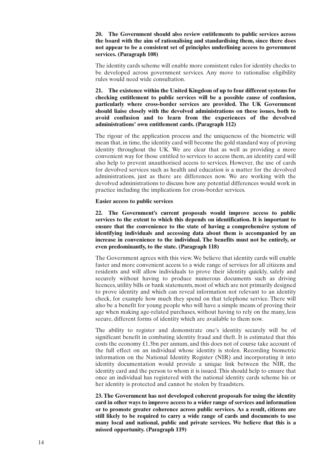## **20. The Government should also review entitlements to public services across the board with the aim of rationalising and standardising them, since there does not appear to be a consistent set of principles underlining access to government services. (Paragraph 108)**

The identity cards scheme will enable more consistent rules for identity checks to be developed across government services. Any move to rationalise eligibility rules would need wide consultation.

**21. The existence within the United Kingdom of up to four different systems for checking entitlement to public services will be a possible cause of confusion, particularly where cross-border services are provided. The UK Government should liaise closely with the devolved administrations on these issues, both to avoid confusion and to learn from the experiences of the devolved administrations' own entitlement cards. (Paragraph 112)**

The rigour of the application process and the uniqueness of the biometric will mean that, in time, the identity card will become the gold standard way of proving identity throughout the UK. We are clear that as well as providing a more convenient way for those entitled to services to access them, an identity card will also help to prevent unauthorised access to services. However, the use of cards for devolved services such as health and education is a matter for the devolved administrations, just as there are differences now. We are working with the devolved administrations to discuss how any potential differences would work in practice including the implications for cross-border services.

**Easier access to public services**

**22. The Government's current proposals would improve access to public services to the extent to which this depends on identification. It is important to ensure that the convenience to the state of having a comprehensive system of identifying individuals and accessing data about them is accompanied by an increase in convenience to the individual. The benefits must not be entirely, or even predominantly, to the state. (Paragraph 118)**

The Government agrees with this view.We believe that identity cards will enable faster and more convenient access to a wide range of services for all citizens and residents and will allow individuals to prove their identity quickly, safely and securely without having to produce numerous documents such as driving licences, utility bills or bank statements, most of which are not primarily designed to prove identity and which can reveal information not relevant to an identity check, for example how much they spend on that telephone service. There will also be a benefit for young people who will have a simple means of proving their age when making age-related purchases, without having to rely on the many, less secure, different forms of identity which are available to them now.

The ability to register and demonstrate one's identity securely will be of significant benefit in combating identity fraud and theft. It is estimated that this costs the economy £1.3bn per annum, and this does not of course take account of the full effect on an individual whose identity is stolen. Recording biometric information on the National Identity Register (NIR) and incorporating it into identity documentation would provide a unique link between the NIR, the identity card and the person to whom it is issued.This should help to ensure that once an individual has registered with the national identity cards scheme his or her identity is protected and cannot be stolen by fraudsters.

**23. The Government has not developed coherent proposals for using the identity card in other ways to improve access to a wider range of services and information or to promote greater coherence across public services. As a result, citizens are still likely to be required to carry a wide range of cards and documents to use many local and national, public and private services. We believe that this is a missed opportunity. (Paragraph 119)**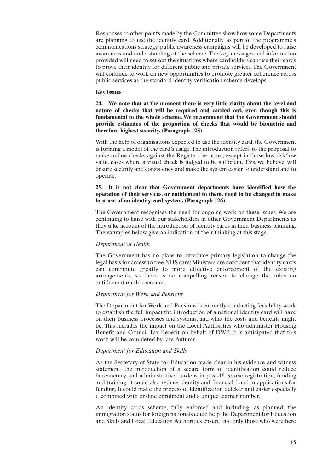Responses to other points made by the Committee show how some Departments are planning to use the identity card. Additionally, as part of the programme's communications strategy, public awareness campaigns will be developed to raise awareness and understanding of the scheme. The key messages and information provided will need to set out the situations where cardholders can use their cards to prove their identity for different public and private services.The Government will continue to work on new opportunities to promote greater coherence across public services as the standard identity verification scheme develops.

## **Key issues**

**24. We note that at the moment there is very little clarity about the level and nature of checks that will be required and carried out, even though this is fundamental to the whole scheme. We recommend that the Government should provide estimates of the proportion of checks that would be biometric and therefore highest security. (Paragraph 125)**

With the help of organisations expected to use the identity card, the Government is forming a model of the card's usage.The introduction refers, to the proposal to make online checks against the Register the norm, except in those low risk/low value cases where a visual check is judged to be sufficient. This, we believe, will ensure security and consistency and make the system easier to understand and to operate.

## **25. It is not clear that Government departments have identified how the operation of their services, or entitlement to them, need to be changed to make best use of an identity card system. (Paragraph 126)**

The Government recognises the need for ongoing work on these issues. We are continuing to liaise with our stakeholders in other Government Departments as they take account of the introduction of identity cards in their business planning. The examples below give an indication of their thinking at this stage.

## *Department of Health*

The Government has no plans to introduce primary legislation to change the legal basis for access to free NHS care; Ministers are confident that identity cards can contribute greatly to more effective enforcement of the existing arrangements, so there is no compelling reason to change the rules on entitlement on this account.

## *Department for Work and Pensions*

The Department for Work and Pensions is currently conducting feasibility work to establish the full impact the introduction of a national identity card will have on their business processes and systems, and what the costs and benefits might be. This includes the impact on the Local Authorities who administer Housing Benefit and Council Tax Benefit on behalf of DWP. It is anticipated that this work will be completed by late Autumn.

## *Department for Education and Skills*

As the Secretary of State for Education made clear in his evidence and witness statement, the introduction of a secure form of identification could reduce bureaucracy and administrative burdens in post-16 course registration, funding and training; it could also reduce identity and financial fraud in applications for funding. It could make the process of identification quicker and easier especially if combined with on-line enrolment and a unique learner number.

An identity cards scheme, fully enforced and including, as planned, the immigration status for foreign nationals could help the Department for Education and Skills and Local Education Authorities ensure that only those who were here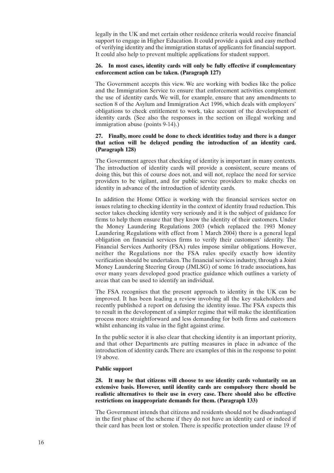legally in the UK and met certain other residence criteria would receive financial support to engage in Higher Education.It could provide a quick and easy method of verifying identity and the immigration status of applicants for financial support. It could also help to prevent multiple applications for student support.

## **26. In most cases, identity cards will only be fully effective if complementary enforcement action can be taken. (Paragraph 127)**

The Government accepts this view. We are working with bodies like the police and the Immigration Service to ensure that enforcement activities complement the use of identity cards. We will, for example, ensure that any amendments to section 8 of the Asylum and Immigration Act 1996, which deals with employers' obligations to check entitlement to work, take account of the development of identity cards. (See also the responses in the section on illegal working and immigration abuse (points 9-14).)

## **27. Finally, more could be done to check identities today and there is a danger that action will be delayed pending the introduction of an identity card. (Paragraph 128)**

The Government agrees that checking of identity is important in many contexts. The introduction of identity cards will provide a consistent, secure means of doing this, but this of course does not, and will not, replace the need for service providers to be vigilant, and for public service providers to make checks on identity in advance of the introduction of identity cards.

In addition the Home Office is working with the financial services sector on issues relating to checking identity in the context of identity fraud reduction.This sector takes checking identity very seriously and it is the subject of guidance for firms to help them ensure that they know the identity of their customers. Under the Money Laundering Regulations 2003 (which replaced the 1993 Money Laundering Regulations with effect from 1 March 2004) there is a general legal obligation on financial services firms to verify their customers' identity. The Financial Services Authority (FSA) rules impose similar obligations. However, neither the Regulations nor the FSA rules specify exactly how identity verification should be undertaken.The financial services industry, through a Joint Money Laundering Steering Group (JMLSG) of some 16 trade associations, has over many years developed good practice guidance which outlines a variety of areas that can be used to identify an individual.

The FSA recognises that the present approach to identity in the UK can be improved. It has been leading a review involving all the key stakeholders and recently published a report on defusing the identity issue. The FSA expects this to result in the development of a simpler regime that will make the identification process more straightforward and less demanding for both firms and customers whilst enhancing its value in the fight against crime.

In the public sector it is also clear that checking identity is an important priority, and that other Departments are putting measures in place in advance of the introduction of identity cards.There are examples of this in the response to point 19 above.

## **Public support**

**28. It may be that citizens will choose to use identity cards voluntarily on an extensive basis. However, until identity cards are compulsory there should be realistic alternatives to their use in every case. There should also be effective restrictions on inappropriate demands for them. (Paragraph 133)**

The Government intends that citizens and residents should not be disadvantaged in the first phase of the scheme if they do not have an identity card or indeed if their card has been lost or stolen. There is specific protection under clause 19 of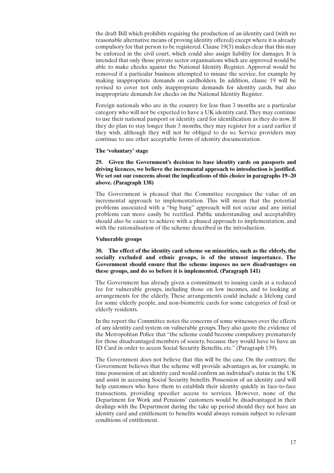the draft Bill which prohibits requiring the production of an identity card (with no reasonable alternative means of proving identity offered) except where it is already compulsory for that person to be registered. Clause 19(3) makes clear that this may be enforced in the civil court, which could also assign liability for damages. It is intended that only those private sector organisations which are approved would be able to make checks against the National Identity Register. Approval would be removed if a particular business attempted to misuse the service, for example by making inappropriate demands on cardholders. In addition, clause 19 will be revised to cover not only inappropriate demands for identity cards, but also inappropriate demands for checks on the National Identity Register.

Foreign nationals who are in the country for less than 3 months are a particular category who will not be expected to have a UK identity card.They may continue to use their national passport or identity card for identification as they do now.If they do plan to stay longer than 3 months, they may register for a card earlier if they wish, although they will not be obliged to do so. Service providers may continue to use other acceptable forms of identity documentation.

#### **The 'voluntary' stage**

## **29. Given the Government's decision to base identity cards on passports and driving licences, we believe the incremental approach to introduction is justified. We set out our concerns about the implications of this choice in paragraphs 19–20 above. (Paragraph 138)**

The Government is pleased that the Committee recognises the value of an incremental approach to implementation. This will mean that the potential problems associated with a "big bang" approach will not occur and any initial problems can more easily be rectified. Public understanding and acceptability should also be easier to achieve with a phased approach to implementation, and with the rationalisation of the scheme described in the introduction.

#### **Vulnerable groups**

## **30. The effect of the identity card scheme on minorities, such as the elderly, the socially excluded and ethnic groups, is of the utmost importance. The Government should ensure that the scheme imposes no new disadvantages on these groups, and do so before it is implemented. (Paragraph 141)**

The Government has already given a commitment to issuing cards at a reduced fee for vulnerable groups, including those on low incomes, and to looking at arrangements for the elderly. These arrangements could include a lifelong card for some elderly people, and non-biometric cards for some categories of frail or elderly residents.

In the report the Committee notes the concerns of some witnesses over the effects of any identity card system on vulnerable groups.They also quote the evidence of the Metropolitan Police that "the scheme could become compulsory prematurely for those disadvantaged members of society, because they would have to have an ID Card in order to access Social Security Benefits, etc." (Paragraph 139).

The Government does not believe that this will be the case. On the contrary, the Government believes that the scheme will provide advantages as, for example, in time possession of an identity card would confirm an individual's status in the UK and assist in accessing Social Security benefits. Possession of an identity card will help customers who have them to establish their identity quickly in face-to-face transactions, providing speedier access to services. However, none of the Department for Work and Pensions' customers would be disadvantaged in their dealings with the Department during the take up period should they not have an identity card and entitlement to benefits would always remain subject to relevant conditions of entitlement.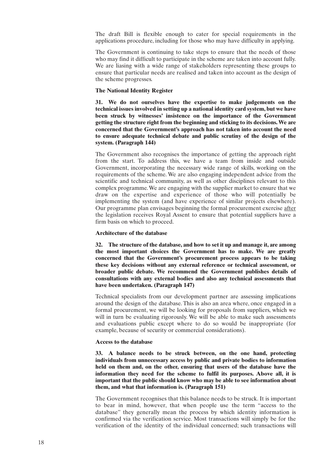The draft Bill is flexible enough to cater for special requirements in the applications procedure, including for those who may have difficulty in applying.

The Government is continuing to take steps to ensure that the needs of those who may find it difficult to participate in the scheme are taken into account fully. We are liasing with a wide range of stakeholders representing these groups to ensure that particular needs are realised and taken into account as the design of the scheme progresses.

## **The National Identity Register**

**31. We do not ourselves have the expertise to make judgements on the technical issues involved in setting up a national identity card system, but we have been struck by witnesses' insistence on the importance of the Government getting the structure right from the beginning and sticking to its decisions.We are concerned that the Government's approach has not taken into account the need to ensure adequate technical debate and public scrutiny of the design of the system. (Paragraph 144)**

The Government also recognises the importance of getting the approach right from the start. To address this, we have a team from inside and outside Government, incorporating the necessary wide range of skills, working on the requirements of the scheme. We are also engaging independent advice from the scientific and technical community, as well as other disciplines relevant to this complex programme.We are engaging with the supplier market to ensure that we draw on the expertise and experience of those who will potentially be implementing the system (and have experience of similar projects elsewhere). Our programme plan envisages beginning the formal procurement exercise after the legislation receives Royal Assent to ensure that potential suppliers have a firm basis on which to proceed.

#### **Architecture of the database**

**32. The structure of the database, and how to set it up and manage it, are among the most important choices the Government has to make. We are greatly concerned that the Government's procurement process appears to be taking these key decisions without any external reference or technical assessment, or broader public debate. We recommend the Government publishes details of consultations with any external bodies and also any technical assessments that have been undertaken. (Paragraph 147)**

Technical specialists from our development partner are assessing implications around the design of the database. This is also an area where, once engaged in a formal procurement, we will be looking for proposals from suppliers, which we will in turn be evaluating rigorously. We will be able to make such assessments and evaluations public except where to do so would be inappropriate (for example, because of security or commercial considerations).

#### **Access to the database**

**33. A balance needs to be struck between, on the one hand, protecting individuals from unnecessary access by public and private bodies to information held on them and, on the other, ensuring that users of the database have the information they need for the scheme to fulfil its purposes. Above all, it is important that the public should know who may be able to see information about them, and what that information is. (Paragraph 151)**

The Government recognises that this balance needs to be struck. It is important to bear in mind, however, that when people use the term "access to the database" they generally mean the process by which identity information is confirmed via the verification service. Most transactions will simply be for the verification of the identity of the individual concerned; such transactions will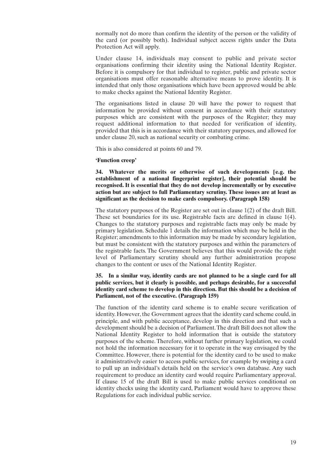normally not do more than confirm the identity of the person or the validity of the card (or possibly both). Individual subject access rights under the Data Protection Act will apply.

Under clause 14, individuals may consent to public and private sector organisations confirming their identity using the National Identity Register. Before it is compulsory for that individual to register, public and private sector organisations must offer reasonable alternative means to prove identity. It is intended that only those organisations which have been approved would be able to make checks against the National Identity Register.

The organisations listed in clause 20 will have the power to request that information be provided without consent in accordance with their statutory purposes which are consistent with the purposes of the Register; they may request additional information to that needed for verification of identity, provided that this is in accordance with their statutory purposes, and allowed for under clause 20, such as national security or combating crime.

This is also considered at points 60 and 79.

#### **'Function creep'**

**34. Whatever the merits or otherwise of such developments [e.g. the establishment of a national fingerprint register], their potential should be recognised. It is essential that they do not develop incrementally or by executive action but are subject to full Parliamentary scrutiny. These issues are at least as significant as the decision to make cards compulsory. (Paragraph 158)**

The statutory purposes of the Register are set out in clause 1(2) of the draft Bill. These set boundaries for its use. Registrable facts are defined in clause 1(4). Changes to the statutory purposes and registrable facts may only be made by primary legislation. Schedule 1 details the information which may be held in the Register; amendments to this information may be made by secondary legislation, but must be consistent with the statutory purposes and within the parameters of the registrable facts. The Government believes that this would provide the right level of Parliamentary scrutiny should any further administration propose changes to the content or uses of the National Identity Register.

**35. In a similar way, identity cards are not planned to be a single card for all public services, but it clearly is possible, and perhaps desirable, for a successful identity card scheme to develop in this direction. But this should be a decision of Parliament, not of the executive. (Paragraph 159)**

The function of the identity card scheme is to enable secure verification of identity. However, the Government agrees that the identity card scheme could, in principle, and with public acceptance, develop in this direction and that such a development should be a decision of Parliament.The draft Bill does not allow the National Identity Register to hold information that is outside the statutory purposes of the scheme.Therefore, without further primary legislation, we could not hold the information necessary for it to operate in the way envisaged by the Committee. However, there is potential for the identity card to be used to make it administratively easier to access public services, for example by swiping a card to pull up an individual's details held on the service's own database. Any such requirement to produce an identity card would require Parliamentary approval. If clause 15 of the draft Bill is used to make public services conditional on identity checks using the identity card, Parliament would have to approve these Regulations for each individual public service.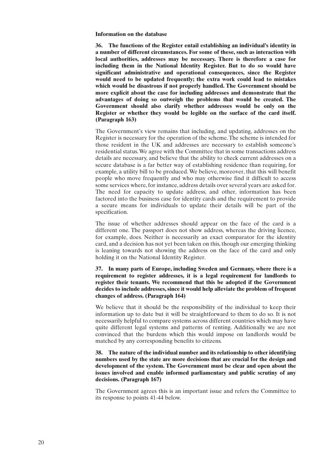## **Information on the database**

**36. The functions of the Register entail establishing an individual's identity in a number of different circumstances. For some of these, such as interaction with local authorities, addresses may be necessary. There is therefore a case for including them in the National Identity Register. But to do so would have significant administrative and operational consequences, since the Register would need to be updated frequently; the extra work could lead to mistakes which would be disastrous if not properly handled. The Government should be more explicit about the case for including addresses and demonstrate that the advantages of doing so outweigh the problems that would be created. The Government should also clarify whether addresses would be only on the Register or whether they would be legible on the surface of the card itself. (Paragraph 163)**

The Government's view remains that including, and updating, addresses on the Register is necessary for the operation of the scheme.The scheme is intended for those resident in the UK and addresses are necessary to establish someone's residential status.We agree with the Committee that in some transactions address details are necessary, and believe that the ability to check current addresses on a secure database is a far better way of establishing residence than requiring, for example, a utility bill to be produced.We believe, moreover, that this will benefit people who move frequently and who may otherwise find it difficult to access some services where,for instance, address details over several years are asked for. The need for capacity to update address, and other, information has been factored into the business case for identity cards and the requirement to provide a secure means for individuals to update their details will be part of the specification.

The issue of whether addresses should appear on the face of the card is a different one. The passport does not show address, whereas the driving licence, for example, does. Neither is necessarily an exact comparator for the identity card, and a decision has not yet been taken on this, though our emerging thinking is leaning towards not showing the address on the face of the card and only holding it on the National Identity Register.

**37. In many parts of Europe, including Sweden and Germany, where there is a requirement to register addresses, it is a legal requirement for landlords to register their tenants. We recommend that this be adopted if the Government decides to include addresses,since it would help alleviate the problem of frequent changes of address. (Paragraph 164)**

We believe that it should be the responsibility of the individual to keep their information up to date but it will be straightforward to them to do so. It is not necessarily helpful to compare systems across different countries which may have quite different legal systems and patterns of renting. Additionally we are not convinced that the burdens which this would impose on landlords would be matched by any corresponding benefits to citizens.

## **38. The nature of the individual number and its relationship to other identifying numbers used by the state are more decisions that are crucial for the design and development of the system. The Government must be clear and open about the issues involved and enable informed parliamentary and public scrutiny of any decisions. (Paragraph 167)**

The Government agrees this is an important issue and refers the Committee to its response to points 41-44 below.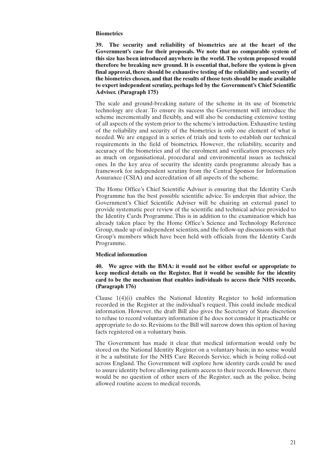## **Biometrics**

**39. The security and reliability of biometrics are at the heart of the Government's case for their proposals. We note that no comparable system of this size has been introduced anywhere in the world. The system proposed would therefore be breaking new ground. It is essential that, before the system is given final approval, there should be exhaustive testing of the reliability and security of the biometrics chosen, and that the results of those tests should be made available to expert independent scrutiny, perhaps led by the Government's Chief Scientific Adviser. (Paragraph 175)**

The scale and ground-breaking nature of the scheme in its use of biometric technology are clear. To ensure its success the Government will introduce the scheme incrementally and flexibly, and will also be conducting extensive testing of all aspects of the system prior to the scheme's introduction. Exhaustive testing of the reliability and security of the biometrics is only one element of what is needed. We are engaged in a series of trials and tests to establish our technical requirements in the field of biometrics. However, the reliability, security and accuracy of the biometrics and of the enrolment and verification processes rely as much on organisational, procedural and environmental issues as technical ones. In the key area of security the identity cards programme already has a framework for independent scrutiny from the Central Sponsor for Information Assurance (CSIA) and accreditation of all aspects of the scheme.

The Home Office's Chief Scientific Adviser is ensuring that the Identity Cards Programme has the best possible scientific advice. To underpin that advice, the Government's Chief Scientific Adviser will be chairing an external panel to provide systematic peer review of the scientific and technical advice provided to the Identity Cards Programme. This is in addition to the examination which has already taken place by the Home Office's Science and Technology Reference Group, made up of independent scientists, and the follow-up discussions with that Group's members which have been held with officials from the Identity Cards Programme.

## **Medical information**

**40. We agree with the BMA: it would not be either useful or appropriate to keep medical details on the Register. But it would be sensible for the identity card to be the mechanism that enables individuals to access their NHS records. (Paragraph 176)**

Clause 1(4)(i) enables the National Identity Register to hold information recorded in the Register at the individual's request. This could include medical information. However, the draft Bill also gives the Secretary of State discretion to refuse to record voluntary information if he does not consider it practicable or appropriate to do so. Revisions to the Bill will narrow down this option of having facts registered on a voluntary basis.

The Government has made it clear that medical information would only be stored on the National Identity Register on a voluntary basis; in no sense would it be a substitute for the NHS Care Records Service, which is being rolled-out across England. The Government will explore how identity cards could be used to assure identity before allowing patients access to their records. However, there would be no question of other users of the Register, such as the police, being allowed routine access to medical records.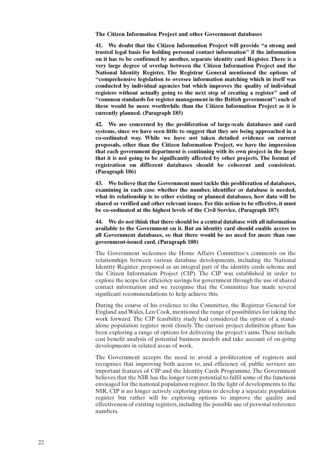**The Citizen Information Project and other Government databases**

**41. We doubt that the Citizen Information Project will provide "a strong and trusted legal basis for holding personal contact information" if the information on it has to be confirmed by another, separate identity card Register. There is a very large degree of overlap between the Citizen Information Project and the National Identity Register. The Registrar General mentioned the options of "comprehensive legislation to oversee information matching which in itself was conducted by individual agencies but which improves the quality of individual registers without actually going to the next step of creating a register" and of "common standards for register management in the British government": each of these would be more worthwhile than the Citizen Information Project as it is currently planned. (Paragraph 185)**

**42. We are concerned by the proliferation of large-scale databases and card systems, since we have seen little to suggest that they are being approached in a co-ordinated way. While we have not taken detailed evidence on current proposals, other than the Citizen Information Project, we have the impression that each government department is continuing with its own project in the hope that it is not going to be significantly affected by other projects. The format of registration on different databases should be coherent and consistent. (Paragraph 186)**

**43. We believe that the Government must tackle this proliferation of databases, examining in each case whether the number, identifier or database is needed, what its relationship is to other existing or planned databases, how data will be shared or verified and other relevant issues. For this action to be effective, it must be co-ordinated at the highest levels of the Civil Service. (Paragraph 187)**

**44. We do not think that there should be a central database with all information available to the Government on it. But an identity card should enable access to all Government databases, so that there would be no need for more than one government-issued card. (Paragraph 188)**

The Government welcomes the Home Affairs Committee's comments on the relationships between various database developments, including the National Identity Register, proposed as an integral part of the identity cards scheme and the Citizen Information Project (CIP). The CIP was established in order to explore the scope for efficiency savings for government through the use of shared contact information and we recognise that the Committee has made several significant recommendations to help achieve this.

During the course of his evidence to the Committee, the Registrar General for England and Wales, Len Cook, mentioned the range of possibilities for taking the work forward. The CIP feasibility study had considered the option of a standalone population register most closely. The current project definition phase has been exploring a range of options for delivering the project's aims.These include cost benefit analysis of potential business models and take account of on-going developments in related areas of work.

The Government accepts the need to avoid a proliferation of registers and recognises that improving both access to, and efficiency of, public services are important features of CIP and the Identity Cards Programme. The Government believes that the NIR has the longer term potential to fulfil some of the functions envisaged for the national population register.In the light of developments to the NIR, CIP is no longer actively exploring plans to develop a separate population register but rather will be exploring options to improve the quality and effectiveness of existing registers, including the possible use of personal reference numbers.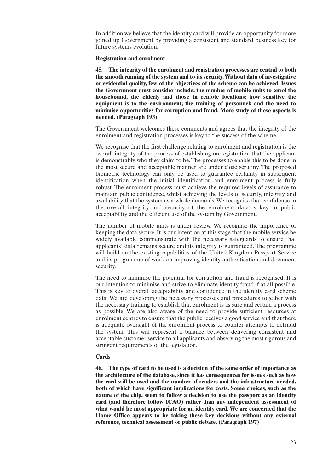In addition we believe that the identity card will provide an opportunity for more joined up Government by providing a consistent and standard business key for future systems evolution.

## **Registration and enrolment**

**45. The integrity of the enrolment and registration processes are central to both the smooth running of the system and to its security.Without data of investigative or evidential quality, few of the objectives of the scheme can be achieved. Issues the Government must consider include: the number of mobile units to enrol the housebound, the elderly and those in remote locations; how sensitive the equipment is to the environment; the training of personnel; and the need to minimise opportunities for corruption and fraud. More study of these aspects is needed. (Paragraph 193)**

The Government welcomes these comments and agrees that the integrity of the enrolment and registration processes is key to the success of the scheme.

We recognise that the first challenge relating to enrolment and registration is the overall integrity of the process of establishing on registration that the applicant is demonstrably who they claim to be.The processes to enable this to be done in the most secure and acceptable manner are under close scrutiny. The proposed biometric technology can only be used to guarantee certainty in subsequent identification when the initial identification and enrolment process is fully robust. The enrolment process must achieve the required levels of assurance to maintain public confidence, whilst achieving the levels of security, integrity and availability that the system as a whole demands.We recognise that confidence in the overall integrity and security of the enrolment data is key to public acceptability and the efficient use of the system by Government.

The number of mobile units is under review. We recognise the importance of keeping the data secure.It is our intention at this stage that the mobile service be widely available commensurate with the necessary safeguards to ensure that applicants' data remains secure and its integrity is guaranteed. The programme will build on the existing capabilities of the United Kingdom Passport Service and its programme of work on improving identity authentication and document security.

The need to minimise the potential for corruption and fraud is recognised. It is our intention to minimise and strive to eliminate identity fraud if at all possible. This is key to overall acceptability and confidence in the identity card scheme data. We are developing the necessary processes and procedures together with the necessary training to establish that enrolment is as sure and certain a process as possible. We are also aware of the need to provide sufficient resources at enrolment centres to ensure that the public receives a good service and that there is adequate oversight of the enrolment process to counter attempts to defraud the system. This will represent a balance between delivering consistent and acceptable customer service to all applicants and observing the most rigorous and stringent requirements of the legislation.

## **Cards**

**46. The type of card to be used is a decision of the same order of importance as the architecture of the database, since it has consequences for issues such as how the card will be used and the number of readers and the infrastructure needed, both of which have significant implications for costs. Some choices, such as the nature of the chip, seem to follow a decision to use the passport as an identity card (and therefore follow ICAO) rather than any independent assessment of what would be most appropriate for an identity card. We are concerned that the Home Office appears to be taking these key decisions without any external reference, technical assessment or public debate. (Paragraph 197)**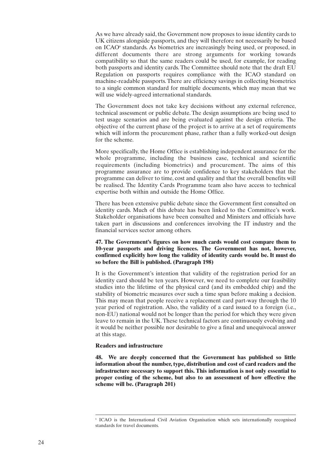As we have already said, the Government now proposes to issue identity cards to UK citizens alongside passports, and they will therefore not necessarily be based on ICAO<sup>6</sup> standards. As biometrics are increasingly being used, or proposed, in different documents there are strong arguments for working towards compatibility so that the same readers could be used, for example, for reading both passports and identity cards.The Committee should note that the draft EU Regulation on passports requires compliance with the ICAO standard on machine-readable passports.There are efficiency savings in collecting biometrics to a single common standard for multiple documents, which may mean that we will use widely-agreed international standards.

The Government does not take key decisions without any external reference, technical assessment or public debate. The design assumptions are being used to test usage scenarios and are being evaluated against the design criteria. The objective of the current phase of the project is to arrive at a set of requirements which will inform the procurement phase, rather than a fully worked-out design for the scheme.

More specifically, the Home Office is establishing independent assurance for the whole programme, including the business case, technical and scientific requirements (including biometrics) and procurement. The aims of this programme assurance are to provide confidence to key stakeholders that the programme can deliver to time, cost and quality and that the overall benefits will be realised. The Identity Cards Programme team also have access to technical expertise both within and outside the Home Office.

There has been extensive public debate since the Government first consulted on identity cards. Much of this debate has been linked to the Committee's work. Stakeholder organisations have been consulted and Ministers and officials have taken part in discussions and conferences involving the IT industry and the financial services sector among others.

## **47. The Government's figures on how much cards would cost compare them to 10-year passports and driving licences. The Government has not, however, confirmed explicitly how long the validity of identity cards would be. It must do so before the Bill is published. (Paragraph 198)**

It is the Government's intention that validity of the registration period for an identity card should be ten years. However, we need to complete our feasibility studies into the lifetime of the physical card (and its embedded chip) and the stability of biometric measures over such a time span before making a decision. This may mean that people receive a replacement card part-way through the 10 year period of registration. Also, the validity of a card issued to a foreign (i.e., non-EU) national would not be longer than the period for which they were given leave to remain in the UK.These technical factors are continuously evolving and it would be neither possible nor desirable to give a final and unequivocal answer at this stage.

## **Readers and infrastructure**

**48. We are deeply concerned that the Government has published so little information about the number, type, distribution and cost of card readers and the infrastructure necessary to support this. This information is not only essential to proper costing of the scheme, but also to an assessment of how effective the scheme will be. (Paragraph 201)**

<sup>6</sup> ICAO is the International Civil Aviation Organisation which sets internationally recognised standards for travel documents.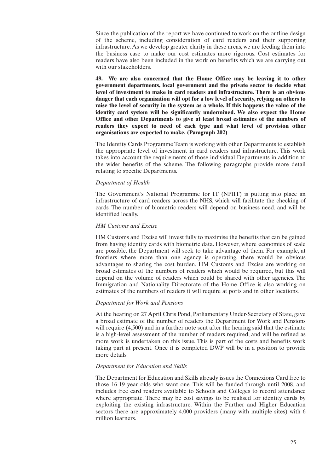Since the publication of the report we have continued to work on the outline design of the scheme, including consideration of card readers and their supporting infrastructure. As we develop greater clarity in these areas, we are feeding them into the business case to make our cost estimates more rigorous. Cost estimates for readers have also been included in the work on benefits which we are carrying out with our stakeholders.

**49. We are also concerned that the Home Office may be leaving it to other government departments, local government and the private sector to decide what level of investment to make in card readers and infrastructure. There is an obvious danger that each organisation will opt for a low level of security, relying on others to raise the level of security in the system as a whole. If this happens the value of the identity card system will be significantly undermined. We also expect the Home Office and other Departments to give at least broad estimates of the numbers of readers they expect to need of each type and what level of provision other organisations are expected to make. (Paragraph 202)**

The Identity Cards Programme Team is working with other Departments to establish the appropriate level of investment in card readers and infrastructure. This work takes into account the requirements of those individual Departments in addition to the wider benefits of the scheme. The following paragraphs provide more detail relating to specific Departments.

## *Department of Health*

The Government's National Programme for IT (NPfIT) is putting into place an infrastructure of card readers across the NHS, which will facilitate the checking of cards. The number of biometric readers will depend on business need, and will be identified locally.

## *HM Customs and Excise*

HM Customs and Excise will invest fully to maximise the benefits that can be gained from having identity cards with biometric data. However, where economies of scale are possible, the Department will seek to take advantage of them. For example, at frontiers where more than one agency is operating, there would be obvious advantages to sharing the cost burden. HM Customs and Excise are working on broad estimates of the numbers of readers which would be required, but this will depend on the volume of readers which could be shared with other agencies. The Immigration and Nationality Directorate of the Home Office is also working on estimates of the numbers of readers it will require at ports and in other locations.

#### *Department for Work and Pensions*

At the hearing on 27 April Chris Pond, Parliamentary Under-Secretary of State, gave a broad estimate of the number of readers the Department for Work and Pensions will require (4,500) and in a further note sent after the hearing said that the estimate is a high-level assessment of the number of readers required, and will be refined as more work is undertaken on this issue. This is part of the costs and benefits work taking part at present. Once it is completed DWP will be in a position to provide more details.

## *Department for Education and Skills*

The Department for Education and Skills already issues the Connexions Card free to those 16-19 year olds who want one. This will be funded through until 2008, and includes free card readers available to Schools and Colleges to record attendance where appropriate. There may be cost savings to be realised for identity cards by exploiting the existing infrastructure. Within the Further and Higher Education sectors there are approximately 4,000 providers (many with multiple sites) with 6 million learners.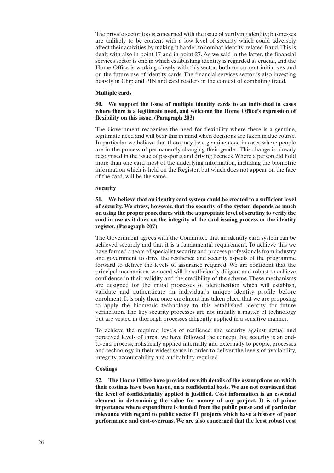The private sector too is concerned with the issue of verifying identity; businesses are unlikely to be content with a low level of security which could adversely affect their activities by making it harder to combat identity-related fraud.This is dealt with also in point 17 and in point 27. As we said in the latter, the financial services sector is one in which establishing identity is regarded as crucial, and the Home Office is working closely with this sector, both on current initiatives and on the future use of identity cards. The financial services sector is also investing heavily in Chip and PIN and card readers in the context of combating fraud.

## **Multiple cards**

## **50. We support the issue of multiple identity cards to an individual in cases where there is a legitimate need, and welcome the Home Office's expression of flexibility on this issue. (Paragraph 203)**

The Government recognises the need for flexibility where there is a genuine, legitimate need and will bear this in mind when decisions are taken in due course. In particular we believe that there may be a genuine need in cases where people are in the process of permanently changing their gender. This change is already recognised in the issue of passports and driving licences.Where a person did hold more than one card most of the underlying information, including the biometric information which is held on the Register, but which does not appear on the face of the card, will be the same.

## **Security**

## **51. We believe that an identity card system could be created to a sufficient level of security. We stress, however, that the security of the system depends as much on using the proper procedures with the appropriate level of scrutiny to verify the card in use as it does on the integrity of the card issuing process or the identity register. (Paragraph 207)**

The Government agrees with the Committee that an identity card system can be achieved securely and that it is a fundamental requirement. To achieve this we have formed a team of specialist security and process professionals from industry and government to drive the resilience and security aspects of the programme forward to deliver the levels of assurance required. We are confident that the principal mechanisms we need will be sufficiently diligent and robust to achieve confidence in their validity and the credibility of the scheme. These mechanisms are designed for the initial processes of identification which will establish, validate and authenticate an individual's unique identity profile before enrolment.It is only then, once enrolment has taken place, that we are proposing to apply the biometric technology to this established identity for future verification. The key security processes are not initially a matter of technology but are vested in thorough processes diligently applied in a sensitive manner.

To achieve the required levels of resilience and security against actual and perceived levels of threat we have followed the concept that security is an endto-end process, holistically applied internally and externally to people, processes and technology in their widest sense in order to deliver the levels of availability, integrity, accountability and auditability required.

## **Costings**

**52. The Home Office have provided us with details of the assumptions on which their costings have been based, on a confidential basis.We are not convinced that the level of confidentiality applied is justified. Cost information is an essential element in determining the value for money of any project. It is of prime importance where expenditure is funded from the public purse and of particular relevance with regard to public sector IT projects which have a history of poor performance and cost-overruns. We are also concerned that the least robust cost**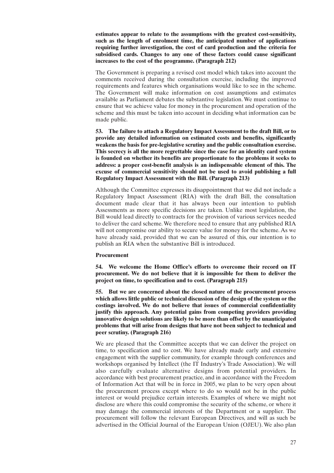**estimates appear to relate to the assumptions with the greatest cost-sensitivity, such as the length of enrolment time, the anticipated number of applications requiring further investigation, the cost of card production and the criteria for subsidised cards. Changes to any one of these factors could cause significant increases to the cost of the programme. (Paragraph 212)**

The Government is preparing a revised cost model which takes into account the comments received during the consultation exercise, including the improved requirements and features which organisations would like to see in the scheme. The Government will make information on cost assumptions and estimates available as Parliament debates the substantive legislation. We must continue to ensure that we achieve value for money in the procurement and operation of the scheme and this must be taken into account in deciding what information can be made public.

**53. The failure to attach a Regulatory Impact Assessment to the draft Bill, or to provide any detailed information on estimated costs and benefits, significantly weakens the basis for pre-legislative scrutiny and the public consultation exercise. This secrecy is all the more regrettable since the case for an identity card system is founded on whether its benefits are proportionate to the problems it seeks to address: a proper cost-benefit analysis is an indispensable element of this. The excuse of commercial sensitivity should not be used to avoid publishing a full Regulatory Impact Assessment with the Bill. (Paragraph 213)**

Although the Committee expresses its disappointment that we did not include a Regulatory Impact Assessment (RIA) with the draft Bill, the consultation document made clear that it has always been our intention to publish Assessments as more specific decisions are taken. Unlike most legislation, the Bill would lead directly to contracts for the provision of various services needed to deliver the card scheme.We therefore need to ensure that any published RIA will not compromise our ability to secure value for money for the scheme. As we have already said, provided that we can be assured of this, our intention is to publish an RIA when the substantive Bill is introduced.

## **Procurement**

**54. We welcome the Home Office's efforts to overcome their record on IT procurement. We do not believe that it is impossible for them to deliver the project on time, to specification and to cost. (Paragraph 215)**

**55. But we are concerned about the closed nature of the procurement process which allows little public or technical discussion of the design of the system or the costings involved. We do not believe that issues of commercial confidentiality justify this approach. Any potential gains from competing providers providing innovative design solutions are likely to be more than offset by the unanticipated problems that will arise from designs that have not been subject to technical and peer scrutiny. (Paragraph 216)**

We are pleased that the Committee accepts that we can deliver the project on time, to specification and to cost. We have already made early and extensive engagement with the supplier community, for example through conferences and workshops organised by Intellect (the IT Industry's Trade Association). We will also carefully evaluate alternative designs from potential providers. In accordance with best procurement practice, and in accordance with the Freedom of Information Act that will be in force in 2005, we plan to be very open about the procurement process except where to do so would not be in the public interest or would prejudice certain interests. Examples of where we might not disclose are where this could compromise the security of the scheme, or where it may damage the commercial interests of the Department or a supplier. The procurement will follow the relevant European Directives, and will as such be advertised in the Official Journal of the European Union (OJEU). We also plan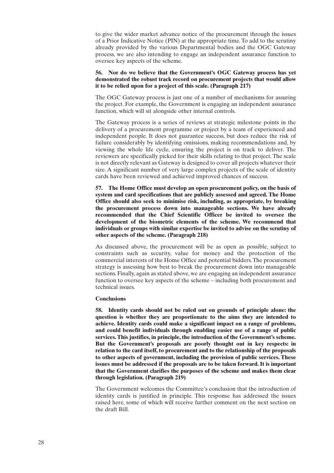to give the wider market advance notice of the procurement through the issues of a Prior Indicative Notice (PIN) at the appropriate time.To add to the scrutiny already provided by the various Departmental bodies and the OGC Gateway process, we are also intending to engage an independent assurance function to oversee key aspects of the scheme.

## **56. Nor do we believe that the Government's OGC Gateway process has yet demonstrated the robust track record on procurement projects that would allow it to be relied upon for a project of this scale. (Paragraph 217)**

The OGC Gateway process is just one of a number of mechanisms for assuring the project. For example, the Government is engaging an independent assurance function, which will sit alongside other internal controls.

The Gateway process is a series of reviews at strategic milestone points in the delivery of a procurement programme or project by a team of experienced and independent people. It does not guarantee success, but does reduce the risk of failure considerably by identifying omissions, making recommendations and, by viewing the whole life cycle, ensuring the project is on track to deliver. The reviewers are specifically picked for their skills relating to that project.The scale is not directly relevant as Gateway is designed to cover all projects whatever their size. A significant number of very large complex projects of the scale of identity cards have been reviewed and achieved improved chances of success.

**57. The Home Office must develop an open procurement policy, on the basis of system and card specifications that are publicly assessed and agreed. The Home Office should also seek to minimise risk, including, as appropriate, by breaking the procurement process down into manageable sections. We have already recommended that the Chief Scientific Officer be invited to oversee the development of the biometric elements of the scheme. We recommend that individuals or groups with similar expertise be invited to advise on the scrutiny of other aspects of the scheme. (Paragraph 218)**

As discussed above, the procurement will be as open as possible, subject to constraints such as security, value for money and the protection of the commercial interests of the Home Office and potential bidders.The procurement strategy is assessing how best to break the procurement down into manageable sections. Finally, again as stated above, we are engaging an independent assurance function to oversee key aspects of the scheme – including both procurement and technical issues.

## **Conclusions**

**58. Identity cards should not be ruled out on grounds of principle alone: the question is whether they are proportionate to the aims they are intended to achieve. Identity cards could make a significant impact on a range of problems, and could benefit individuals through enabling easier use of a range of public services.This justifies, in principle, the introduction of the Government's scheme. But the Government's proposals are poorly thought out in key respects: in relation to the card itself, to procurement and to the relationship of the proposals to other aspects of government, including the provision of public services. These issues must be addressed if the proposals are to be taken forward. It is important that the Government clarifies the purposes of the scheme and makes them clear through legislation. (Paragraph 219)**

The Government welcomes the Committee's conclusion that the introduction of identity cards is justified in principle. This response has addressed the issues raised here, some of which will receive further comment on the next section on the draft Bill.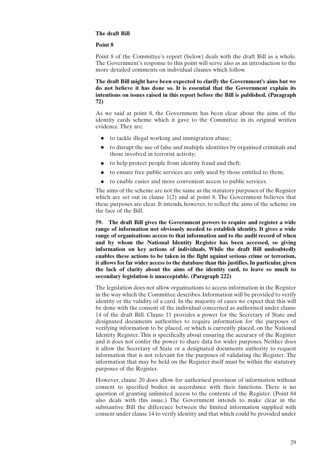## **The draft Bill**

## **Point 8**

Point 8 of the Committee's report (below) deals with the draft Bill as a whole. The Government's response to this point will serve also as an introduction to the more detailed comments on individual clauses which follow.

**The draft Bill might have been expected to clarify the Government's aims but we do not believe it has done so. It is essential that the Government explain its intentions on issues raised in this report before the Bill is published. (Paragraph 72)**

As we said at point 8, the Government has been clear about the aims of the identity cards scheme which it gave to the Committee in its original written evidence.They are:

- to tackle illegal working and immigration abuse;
- to disrupt the use of false and multiple identities by organised criminals and those involved in terrorist activity;
- to help protect people from identity fraud and theft;
- to ensure free public services are only used by those entitled to them;
- to enable easier and more convenient access to public services.

The aims of the scheme are not the same as the statutory purposes of the Register which are set out in clause 1(2) and at point 8. The Government believes that these purposes are clear.It intends, however, to reflect the aims of the scheme on the face of the Bill.

**59. The draft Bill gives the Government powers to require and register a wide range of information not obviously needed to establish identity. It gives a wide range of organisations access to that information and to the audit record of when and by whom the National Identity Register has been accessed, so giving information on key actions of individuals. While the draft Bill undoubtedly enables these actions to be taken in the fight against serious crime or terrorism, it allows for far wider access to the database than this justifies.In particular, given the lack of clarity about the aims of the identity card, to leave so much to secondary legislation is unacceptable. (Paragraph 222)**

The legislation does not allow organisations to access information in the Register in the way which the Committee describes.Information will be provided to verify identity or the validity of a card. In the majority of cases we expect that this will be done with the consent of the individual concerned as authorised under clause 14 of the draft Bill. Clause 11 provides a power for the Secretary of State and designated documents authorities to require information for the purposes of verifying information to be placed, or which is currently placed, on the National Identity Register.This is specifically about ensuring the accuracy of the Register and it does not confer the power to share data for wider purposes. Neither does it allow the Secretary of State or a designated documents authority to request information that is not relevant for the purposes of validating the Register. The information that may be held on the Register itself must be within the statutory purposes of the Register.

However, clause 20 does allow for authorised provision of information without consent to specified bodies in accordance with their functions. There is no question of granting unlimited access to the contents of the Register. (Point 84 also deals with this issue.) The Government intends to make clear in the substantive Bill the difference between the limited information supplied with consent under clause 14 to verify identity and that which could be provided under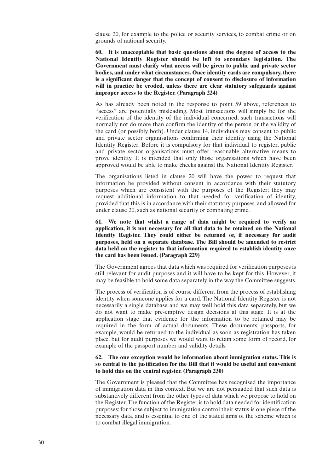clause 20, for example to the police or security services, to combat crime or on grounds of national security.

**60. It is unacceptable that basic questions about the degree of access to the National Identity Register should be left to secondary legislation. The Government must clarify what access will be given to public and private sector bodies, and under what circumstances. Once identity cards are compulsory, there is a significant danger that the concept of consent to disclosure of information will in practice be eroded, unless there are clear statutory safeguards against improper access to the Register. (Paragraph 224)**

As has already been noted in the response to point 59 above, references to "access" are potentially misleading. Most transactions will simply be for the verification of the identity of the individual concerned; such transactions will normally not do more than confirm the identity of the person or the validity of the card (or possibly both). Under clause 14, individuals may consent to public and private sector organisations confirming their identity using the National Identity Register. Before it is compulsory for that individual to register, public and private sector organisations must offer reasonable alternative means to prove identity. It is intended that only those organisations which have been approved would be able to make checks against the National Identity Register.

The organisations listed in clause 20 will have the power to request that information be provided without consent in accordance with their statutory purposes which are consistent with the purposes of the Register; they may request additional information to that needed for verification of identity, provided that this is in accordance with their statutory purposes, and allowed for under clause 20, such as national security or combating crime.

**61. We note that whilst a range of data might be required to verify an application, it is not necessary for all that data to be retained on the National Identity Register. They could either be returned or, if necessary for audit purposes, held on a separate database. The Bill should be amended to restrict data held on the register to that information required to establish identity once the card has been issued. (Paragraph 229)**

The Government agrees that data which was required for verification purposes is still relevant for audit purposes and it will have to be kept for this. However, it may be feasible to hold some data separately in the way the Committee suggests.

The process of verification is of course different from the process of establishing identity when someone applies for a card. The National Identity Register is not necessarily a single database and we may well hold this data separately, but we do not want to make pre-emptive design decisions at this stage. It is at the application stage that evidence for the information to be retained may be required in the form of actual documents. These documents, passports, for example, would be returned to the individual as soon as registration has taken place, but for audit purposes we would want to retain some form of record, for example of the passport number and validity details.

## **62. The one exception would be information about immigration status. This is so central to the justification for the Bill that it would be useful and convenient to hold this on the central register. (Paragraph 230)**

The Government is pleased that the Committee has recognised the importance of immigration data in this context. But we are not persuaded that such data is substantively different from the other types of data which we propose to hold on the Register.The function of the Register is to hold data needed for identification purposes; for those subject to immigration control their status is one piece of the necessary data, and is essential to one of the stated aims of the scheme which is to combat illegal immigration.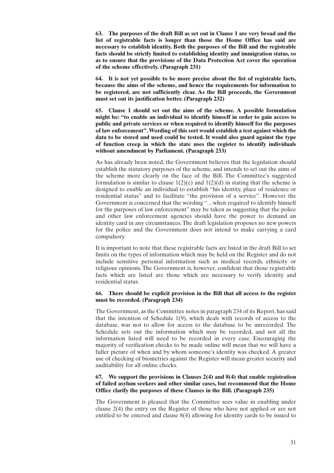**63. The purposes of the draft Bill as set out in Clause 1 are very broad and the list of registrable facts is longer than those the Home Office has said are necessary to establish identity. Both the purposes of the Bill and the registrable facts should be strictly limited to establishing identity and immigration status, so as to ensure that the provisions of the Data Protection Act cover the operation of the scheme effectively. (Paragraph 231)**

**64. It is not yet possible to be more precise about the list of registrable facts, because the aims of the scheme, and hence the requirements for information to be registered, are not sufficiently clear. As the Bill proceeds, the Government must set out its justification better. (Paragraph 232)**

**65. Clause 1 should set out the aims of the scheme. A possible formulation might be: "to enable an individual to identify himself in order to gain access to public and private services or when required to identify himself for the purposes of law enforcement".Wording of this sort would establish a test against which the data to be stored and used could be tested. It would also guard against the type of function creep in which the state uses the register to identify individuals without amendment by Parliament. (Paragraph 233)**

As has already been noted, the Government believes that the legislation should establish the statutory purposes of the scheme, and intends to set out the aims of the scheme more clearly on the face of the Bill. The Committee's suggested formulation is similar to clause  $1(2)(c)$  and  $1(2)(d)$  in stating that the scheme is designed to enable an individual to establish "his identity, place of residence or residential status" and to facilitate "the provision of a service". However the Government is concerned that the wording "…when required to identify himself for the purposes of law enforcement" may be taken as suggesting that the police and other law enforcement agencies should have the power to demand an identity card in any circumstances.The draft legislation proposes no new powers for the police and the Government does not intend to make carrying a card compulsory.

It is important to note that these registrable facts are listed in the draft Bill to set limits on the types of information which may be held on the Register and do not include sensitive personal information such as medical records, ethnicity or religious opinions. The Government is, however, confident that those registrable facts which are listed are those which are necessary to verify identity and residential status.

## **66. There should be explicit provision in the Bill that all access to the register must be recorded. (Paragraph 234)**

The Government, as the Committee notes in paragraph 234 of its Report, has said that the intention of Schedule 1(9), which deals with records of access to the database, was not to allow for access to the database to be unrecorded. The Schedule sets out the information which may be recorded, and not all the information listed will need to be recorded in every case. Encouraging the majority of verification checks to be made online will mean that we will have a fuller picture of when and by whom someone's identity was checked. A greater use of checking of biometrics against the Register will mean greater security and auditability for all online checks.

## **67. We support the provisions in Clauses 2(4) and 8(4) that enable registration of failed asylum seekers and other similar cases, but recommend that the Home Office clarify the purposes of these Clauses in the Bill. (Paragraph 235)**

The Government is pleased that the Committee sees value in enabling under clause 2(4) the entry on the Register of those who have not applied or are not entitled to be entered and clause 8(4) allowing for identity cards to be issued to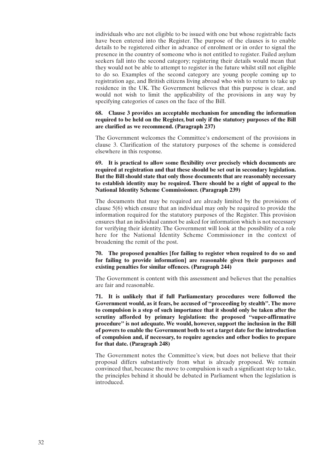individuals who are not eligible to be issued with one but whose registrable facts have been entered into the Register. The purpose of the clauses is to enable details to be registered either in advance of enrolment or in order to signal the presence in the country of someone who is not entitled to register. Failed asylum seekers fall into the second category; registering their details would mean that they would not be able to attempt to register in the future whilst still not eligible to do so. Examples of the second category are young people coming up to registration age, and British citizens living abroad who wish to return to take up residence in the UK. The Government believes that this purpose is clear, and would not wish to limit the applicability of the provisions in any way by specifying categories of cases on the face of the Bill.

## **68. Clause 3 provides an acceptable mechanism for amending the information required to be held on the Register, but only if the statutory purposes of the Bill are clarified as we recommend. (Paragraph 237)**

The Government welcomes the Committee's endorsement of the provisions in clause 3. Clarification of the statutory purposes of the scheme is considered elsewhere in this response.

**69. It is practical to allow some flexibility over precisely which documents are required at registration and that these should be set out in secondary legislation. But the Bill should state that only those documents that are reasonably necessary to establish identity may be required. There should be a right of appeal to the National Identity Scheme Commissioner. (Paragraph 239)**

The documents that may be required are already limited by the provisions of clause 5(6) which ensure that an individual may only be required to provide the information required for the statutory purposes of the Register. This provision ensures that an individual cannot be asked for information which is not necessary for verifying their identity. The Government will look at the possibility of a role here for the National Identity Scheme Commissioner in the context of broadening the remit of the post.

**70. The proposed penalties [for failing to register when required to do so and for failing to provide information] are reasonable given their purposes and existing penalties for similar offences. (Paragraph 244)**

The Government is content with this assessment and believes that the penalties are fair and reasonable.

**71. It is unlikely that if full Parliamentary procedures were followed the Government would, as it fears, be accused of "proceeding by stealth". The move to compulsion is a step of such importance that it should only be taken after the scrutiny afforded by primary legislation: the proposed "super-affirmative procedure" is not adequate. We would, however, support the inclusion in the Bill of powers to enable the Government both to set a target date for the introduction of compulsion and, if necessary, to require agencies and other bodies to prepare for that date. (Paragraph 248)**

The Government notes the Committee's view, but does not believe that their proposal differs substantively from what is already proposed. We remain convinced that, because the move to compulsion is such a significant step to take, the principles behind it should be debated in Parliament when the legislation is introduced.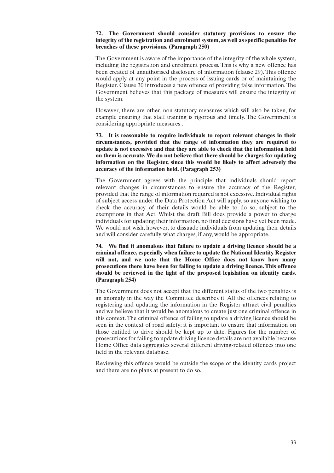## **72. The Government should consider statutory provisions to ensure the integrity of the registration and enrolment system, as well as specific penalties for breaches of these provisions. (Paragraph 250)**

The Government is aware of the importance of the integrity of the whole system, including the registration and enrolment process. This is why a new offence has been created of unauthorised disclosure of information (clause 29). This offence would apply at any point in the process of issuing cards or of maintaining the Register. Clause 30 introduces a new offence of providing false information.The Government believes that this package of measures will ensure the integrity of the system.

However, there are other, non-statutory measures which will also be taken, for example ensuring that staff training is rigorous and timely. The Government is considering appropriate measures .

**73. It is reasonable to require individuals to report relevant changes in their circumstances, provided that the range of information they are required to update is not excessive and that they are able to check that the information held on them is accurate. We do not believe that there should be charges for updating information on the Register, since this would be likely to affect adversely the accuracy of the information held. (Paragraph 253)**

The Government agrees with the principle that individuals should report relevant changes in circumstances to ensure the accuracy of the Register, provided that the range of information required is not excessive.Individual rights of subject access under the Data Protection Act will apply, so anyone wishing to check the accuracy of their details would be able to do so, subject to the exemptions in that Act. Whilst the draft Bill does provide a power to charge individuals for updating their information, no final decisions have yet been made. We would not wish, however, to dissuade individuals from updating their details and will consider carefully what charges, if any, would be appropriate.

**74. We find it anomalous that failure to update a driving licence should be a criminal offence, especially when failure to update the National Identity Register will not, and we note that the Home Office does not know how many prosecutions there have been for failing to update a driving licence. This offence should be reviewed in the light of the proposed legislation on identity cards. (Paragraph 254)**

The Government does not accept that the different status of the two penalties is an anomaly in the way the Committee describes it. All the offences relating to registering and updating the information in the Register attract civil penalties and we believe that it would be anomalous to create just one criminal offence in this context.The criminal offence of failing to update a driving licence should be seen in the context of road safety; it is important to ensure that information on those entitled to drive should be kept up to date. Figures for the number of prosecutions for failing to update driving licence details are not available because Home Office data aggregates several different driving-related offences into one field in the relevant database.

Reviewing this offence would be outside the scope of the identity cards project and there are no plans at present to do so.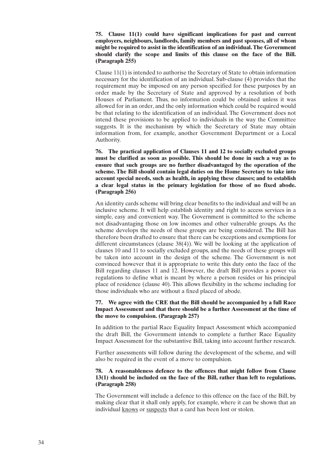## **75. Clause 11(1) could have significant implications for past and current employers, neighbours, landlords, family members and past spouses, all of whom might be required to assist in the identification of an individual.The Government should clarify the scope and limits of this clause on the face of the Bill. (Paragraph 255)**

Clause 11(1) is intended to authorise the Secretary of State to obtain information necessary for the identification of an individual. Sub-clause (4) provides that the requirement may be imposed on any person specified for these purposes by an order made by the Secretary of State and approved by a resolution of both Houses of Parliament. Thus, no information could be obtained unless it was allowed for in an order, and the only information which could be required would be that relating to the identification of an individual. The Government does not intend these provisions to be applied to individuals in the way the Committee suggests. It is the mechanism by which the Secretary of State may obtain information from, for example, another Government Department or a Local Authority.

**76. The practical application of Clauses 11 and 12 to socially excluded groups must be clarified as soon as possible. This should be done in such a way as to ensure that such groups are no further disadvantaged by the operation of the scheme. The Bill should contain legal duties on the Home Secretary to take into account special needs, such as health, in applying these clauses; and to establish a clear legal status in the primary legislation for those of no fixed abode. (Paragraph 256)**

An identity cards scheme will bring clear benefits to the individual and will be an inclusive scheme. It will help establish identity and right to access services in a simple, easy and convenient way. The Government is committed to the scheme not disadvantaging those on low incomes and other vulnerable groups. As the scheme develops the needs of these groups are being considered. The Bill has therefore been drafted to ensure that there can be exceptions and exemptions for different circumstances (clause 38(4)). We will be looking at the application of clauses 10 and 11 to socially excluded groups, and the needs of these groups will be taken into account in the design of the scheme. The Government is not convinced however that it is appropriate to write this duty onto the face of the Bill regarding clauses 11 and 12. However, the draft Bill provides a power via regulations to define what is meant by where a person resides or his principal place of residence (clause 40). This allows flexibility in the scheme including for those individuals who are without a fixed placed of abode.

## **77. We agree with the CRE that the Bill should be accompanied by a full Race Impact Assessment and that there should be a further Assessment at the time of the move to compulsion. (Paragraph 257)**

In addition to the partial Race Equality Impact Assessment which accompanied the draft Bill, the Government intends to complete a further Race Equality Impact Assessment for the substantive Bill, taking into account further research.

Further assessments will follow during the development of the scheme, and will also be required in the event of a move to compulsion.

## **78. A reasonableness defence to the offences that might follow from Clause 13(1) should be included on the face of the Bill, rather than left to regulations. (Paragraph 258)**

The Government will include a defence to this offence on the face of the Bill, by making clear that it shall only apply, for example, where it can be shown that an individual knows or suspects that a card has been lost or stolen.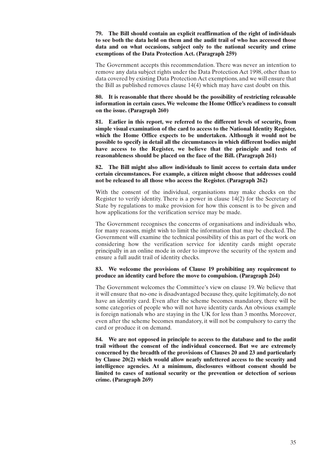**79. The Bill should contain an explicit reaffirmation of the right of individuals to see both the data held on them and the audit trail of who has accessed those data and on what occasions, subject only to the national security and crime exemptions of the Data Protection Act. (Paragraph 259)**

The Government accepts this recommendation. There was never an intention to remove any data subject rights under the Data Protection Act 1998, other than to data covered by existing Data Protection Act exemptions, and we will ensure that the Bill as published removes clause 14(4) which may have cast doubt on this.

**80. It is reasonable that there should be the possibility of restricting releasable information in certain cases. We welcome the Home Office's readiness to consult on the issue. (Paragraph 260)**

**81. Earlier in this report, we referred to the different levels of security, from simple visual examination of the card to access to the National Identity Register, which the Home Office expects to be undertaken. Although it would not be possible to specify in detail all the circumstances in which different bodies might have access to the Register, we believe that the principle and tests of reasonableness should be placed on the face of the Bill. (Paragraph 261)**

**82. The Bill might also allow individuals to limit access to certain data under certain circumstances. For example, a citizen might choose that addresses could not be released to all those who access the Register. (Paragraph 262)**

With the consent of the individual, organisations may make checks on the Register to verify identity. There is a power in clause 14(2) for the Secretary of State by regulations to make provision for how this consent is to be given and how applications for the verification service may be made.

The Government recognises the concerns of organisations and individuals who, for many reasons, might wish to limit the information that may be checked. The Government will examine the technical possibility of this as part of the work on considering how the verification service for identity cards might operate principally in an online mode in order to improve the security of the system and ensure a full audit trail of identity checks.

## **83. We welcome the provisions of Clause 19 prohibiting any requirement to produce an identity card before the move to compulsion. (Paragraph 264)**

The Government welcomes the Committee's view on clause 19. We believe that it will ensure that no-one is disadvantaged because they, quite legitimately, do not have an identity card. Even after the scheme becomes mandatory, there will be some categories of people who will not have identity cards. An obvious example is foreign nationals who are staying in the UK for less than 3 months. Moreover, even after the scheme becomes mandatory, it will not be compulsory to carry the card or produce it on demand.

**84. We are not opposed in principle to access to the database and to the audit trail without the consent of the individual concerned. But we are extremely concerned by the breadth of the provisions of Clauses 20 and 23 and particularly by Clause 20(2) which would allow nearly unfettered access to the security and intelligence agencies. At a minimum, disclosures without consent should be limited to cases of national security or the prevention or detection of serious crime. (Paragraph 269)**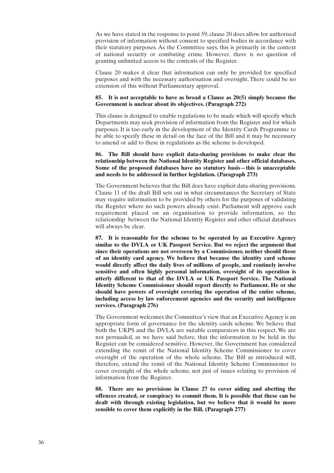As we have stated in the response to point 59, clause 20 does allow for authorised provision of information without consent to specified bodies in accordance with their statutory purposes. As the Committee says, this is primarily in the context of national security or combating crime. However, there is no question of granting unlimited access to the contents of the Register.

Clause 20 makes it clear that information can only be provided for specified purposes and with the necessary authorisation and oversight. There could be no extension of this without Parliamentary approval.

## **85. It is not acceptable to have as broad a Clause as 20(5) simply because the Government is unclear about its objectives. (Paragraph 272)**

This clause is designed to enable regulations to be made which will specify which Departments may seek provision of information from the Register and for which purposes. It is too early in the development of the Identity Cards Programme to be able to specify these in detail on the face of the Bill and it may be necessary to amend or add to these in regulations as the scheme is developed.

## **86. The Bill should have explicit data-sharing provisions to make clear the relationship between the National Identity Register and other official databases. Some of the proposed databases have no statutory basis—this is unacceptable and needs to be addressed in further legislation. (Paragraph 273)**

The Government believes that the Bill does have explicit data-sharing provisions. Clause 11 of the draft Bill sets out in what circumstances the Secretary of State may require information to be provided by others for the purposes of validating the Register where no such powers already exist. Parliament will approve each requirement placed on an organisation to provide information, so the relationship between the National Identity Register and other official databases will always be clear.

**87. It is reasonable for the scheme to be operated by an Executive Agency similar to the DVLA or UK Passport Service. But we reject the argument that since their operations are not overseen by a Commissioner, neither should those of an identity card agency. We believe that because the identity card scheme would directly affect the daily lives of millions of people, and routinely involve sensitive and often highly personal information, oversight of its operation is utterly different to that of the DVLA or UK Passport Service. The National Identity Scheme Commissioner should report directly to Parliament. He or she should have powers of oversight covering the operation of the entire scheme, including access by law enforcement agencies and the security and intelligence services. (Paragraph 276)**

The Government welcomes the Committee's view that an Executive Agency is an appropriate form of governance for the identity cards scheme. We believe that both the UKPS and the DVLA are suitable comparators in this respect. We are not persuaded, as we have said before, that the information to be held in the Register can be considered sensitive. However, the Government has considered extending the remit of the National Identity Scheme Commissioner to cover oversight of the operation of the whole scheme. The Bill as introduced will, therefore, extend the remit of the National Identity Scheme Commissioner to cover oversight of the whole scheme, not just of issues relating to provision of information from the Register.

**88. There are no provisions in Clause 27 to cover aiding and abetting the offences created, or conspiracy to commit them. It is possible that these can be dealt with through existing legislation, but we believe that it would be more sensible to cover them explicitly in the Bill. (Paragraph 277)**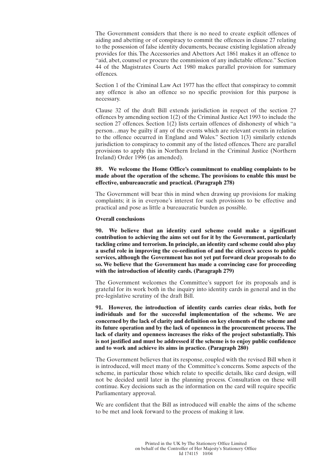The Government considers that there is no need to create explicit offences of aiding and abetting or of conspiracy to commit the offences in clause 27 relating to the possession of false identity documents, because existing legislation already provides for this. The Accessories and Abettors Act 1861 makes it an offence to "aid, abet, counsel or procure the commission of any indictable offence." Section 44 of the Magistrates Courts Act 1980 makes parallel provision for summary offences.

Section 1 of the Criminal Law Act 1977 has the effect that conspiracy to commit any offence is also an offence so no specific provision for this purpose is necessary.

Clause 32 of the draft Bill extends jurisdiction in respect of the section 27 offences by amending section 1(2) of the Criminal Justice Act 1993 to include the section 27 offences. Section 1(2) lists certain offences of dishonesty of which "a person…may be guilty if any of the events which are relevant events in relation to the offence occurred in England and Wales." Section 1(3) similarly extends jurisdiction to conspiracy to commit any of the listed offences.There are parallel provisions to apply this in Northern Ireland in the Criminal Justice (Northern Ireland) Order 1996 (as amended).

## **89. We welcome the Home Office's commitment to enabling complaints to be made about the operation of the scheme. The provisions to enable this must be effective, unbureaucratic and practical. (Paragraph 278)**

The Government will bear this in mind when drawing up provisions for making complaints; it is in everyone's interest for such provisions to be effective and practical and pose as little a bureaucratic burden as possible.

## **Overall conclusions**

**90. We believe that an identity card scheme could make a significant contribution to achieving the aims set out for it by the Government, particularly tackling crime and terrorism.In principle, an identity card scheme could also play a useful role in improving the co-ordination of and the citizen's access to public services, although the Government has not yet put forward clear proposals to do so. We believe that the Government has made a convincing case for proceeding with the introduction of identity cards. (Paragraph 279)**

The Government welcomes the Committee's support for its proposals and is grateful for its work both in the inquiry into identity cards in general and in the pre-legislative scrutiny of the draft Bill.

**91. However, the introduction of identity cards carries clear risks, both for individuals and for the successful implementation of the scheme. We are concerned by the lack of clarity and definition on key elements of the scheme and its future operation and by the lack of openness in the procurement process. The lack of clarity and openness increases the risks of the project substantially. This is not justified and must be addressed if the scheme is to enjoy public confidence and to work and achieve its aims in practice. (Paragraph 280)**

The Government believes that its response, coupled with the revised Bill when it is introduced, will meet many of the Committee's concerns. Some aspects of the scheme, in particular those which relate to specific details, like card design, will not be decided until later in the planning process. Consultation on these will continue. Key decisions such as the information on the card will require specific Parliamentary approval.

We are confident that the Bill as introduced will enable the aims of the scheme to be met and look forward to the process of making it law.